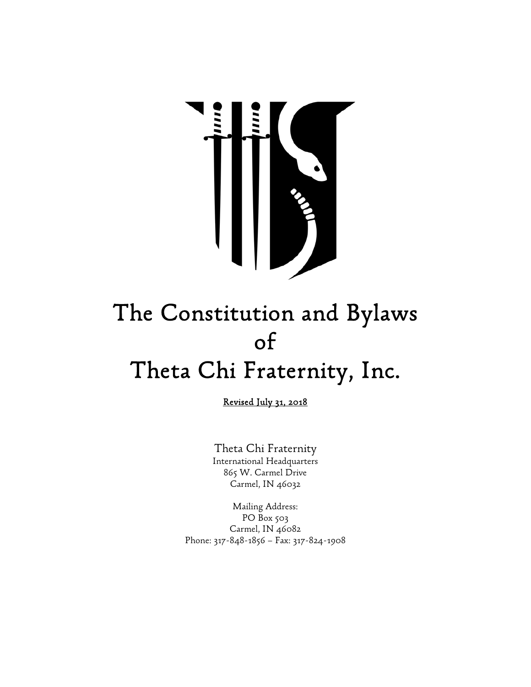

# The Constitution and Bylaws of Theta Chi Fraternity, Inc.

Revised July 31, 2018

Theta Chi Fraternity International Headquarters 865 W. Carmel Drive Carmel, IN 46032

Mailing Address: PO Box 503 Carmel, IN 46082 Phone: 317-848-1856 – Fax: 317-824-1908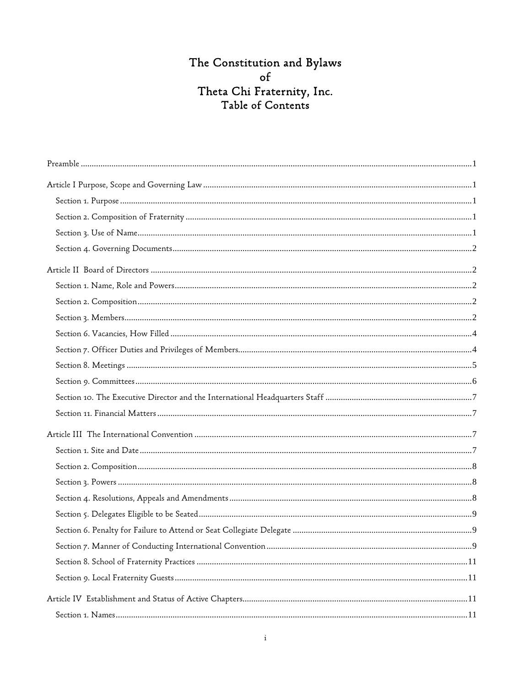# The Constitution and Bylaws<br>of Theta Chi Fraternity, Inc.<br>Table of Contents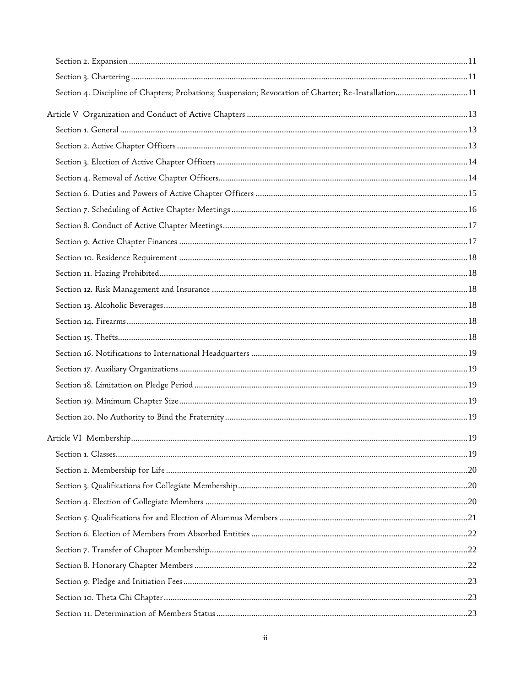| Section 4. Discipline of Chapters; Probations; Suspension; Revocation of Charter; Re-Installation11 |  |
|-----------------------------------------------------------------------------------------------------|--|
|                                                                                                     |  |
|                                                                                                     |  |
|                                                                                                     |  |
|                                                                                                     |  |
|                                                                                                     |  |
|                                                                                                     |  |
|                                                                                                     |  |
|                                                                                                     |  |
|                                                                                                     |  |
|                                                                                                     |  |
|                                                                                                     |  |
|                                                                                                     |  |
|                                                                                                     |  |
|                                                                                                     |  |
|                                                                                                     |  |
|                                                                                                     |  |
|                                                                                                     |  |
|                                                                                                     |  |
|                                                                                                     |  |
|                                                                                                     |  |
|                                                                                                     |  |
|                                                                                                     |  |
|                                                                                                     |  |
|                                                                                                     |  |
|                                                                                                     |  |
|                                                                                                     |  |
|                                                                                                     |  |
|                                                                                                     |  |
|                                                                                                     |  |
|                                                                                                     |  |
|                                                                                                     |  |
|                                                                                                     |  |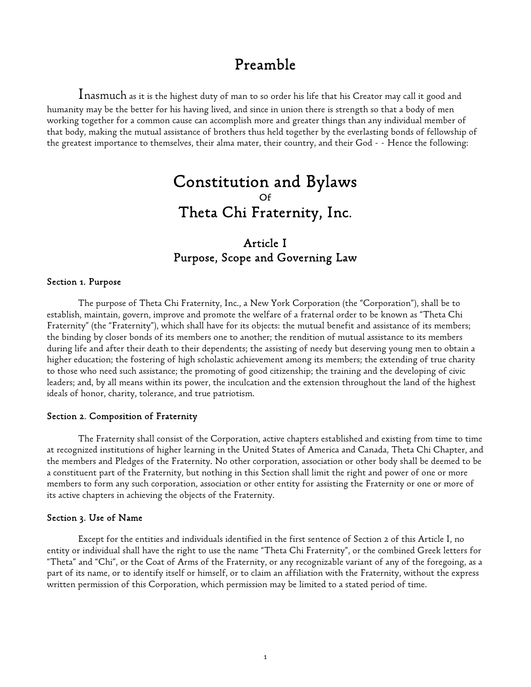# Preamble

Inasmuch as it is the highest duty of man to so order his life that his Creator may call it good and humanity may be the better for his having lived, and since in union there is strength so that a body of men working together for a common cause can accomplish more and greater things than any individual member of that body, making the mutual assistance of brothers thus held together by the everlasting bonds of fellowship of the greatest importance to themselves, their alma mater, their country, and their God - - Hence the following:

# Constitution and Bylaws Of Theta Chi Fraternity, Inc.

# Article I Purpose, Scope and Governing Law

#### Section 1. Purpose

The purpose of Theta Chi Fraternity, Inc., a New York Corporation (the "Corporation"), shall be to establish, maintain, govern, improve and promote the welfare of a fraternal order to be known as "Theta Chi Fraternity" (the "Fraternity"), which shall have for its objects: the mutual benefit and assistance of its members; the binding by closer bonds of its members one to another; the rendition of mutual assistance to its members during life and after their death to their dependents; the assisting of needy but deserving young men to obtain a higher education; the fostering of high scholastic achievement among its members; the extending of true charity to those who need such assistance; the promoting of good citizenship; the training and the developing of civic leaders; and, by all means within its power, the inculcation and the extension throughout the land of the highest ideals of honor, charity, tolerance, and true patriotism.

#### Section 2. Composition of Fraternity

The Fraternity shall consist of the Corporation, active chapters established and existing from time to time at recognized institutions of higher learning in the United States of America and Canada, Theta Chi Chapter, and the members and Pledges of the Fraternity. No other corporation, association or other body shall be deemed to be a constituent part of the Fraternity, but nothing in this Section shall limit the right and power of one or more members to form any such corporation, association or other entity for assisting the Fraternity or one or more of its active chapters in achieving the objects of the Fraternity.

#### Section 3. Use of Name

Except for the entities and individuals identified in the first sentence of Section 2 of this Article I, no entity or individual shall have the right to use the name "Theta Chi Fraternity", or the combined Greek letters for "Theta" and "Chi", or the Coat of Arms of the Fraternity, or any recognizable variant of any of the foregoing, as a part of its name, or to identify itself or himself, or to claim an affiliation with the Fraternity, without the express written permission of this Corporation, which permission may be limited to a stated period of time.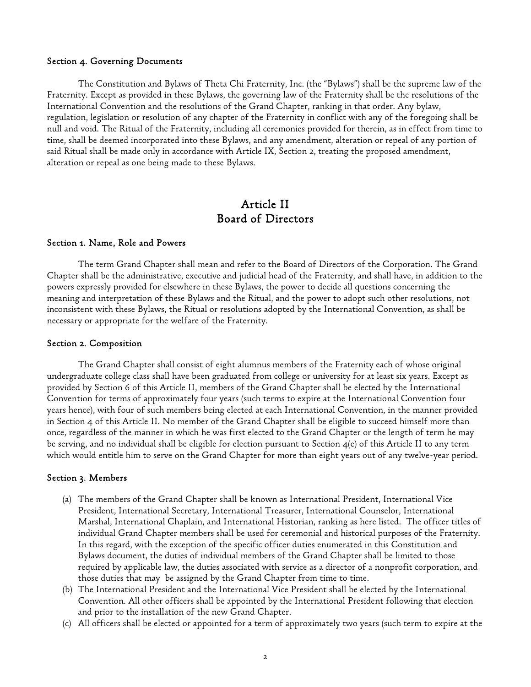#### Section 4. Governing Documents

The Constitution and Bylaws of Theta Chi Fraternity, Inc. (the "Bylaws") shall be the supreme law of the Fraternity. Except as provided in these Bylaws, the governing law of the Fraternity shall be the resolutions of the International Convention and the resolutions of the Grand Chapter, ranking in that order. Any bylaw, regulation, legislation or resolution of any chapter of the Fraternity in conflict with any of the foregoing shall be null and void. The Ritual of the Fraternity, including all ceremonies provided for therein, as in effect from time to time, shall be deemed incorporated into these Bylaws, and any amendment, alteration or repeal of any portion of said Ritual shall be made only in accordance with Article IX, Section 2, treating the proposed amendment, alteration or repeal as one being made to these Bylaws.

## Article II Board of Directors

#### Section 1. Name, Role and Powers

The term Grand Chapter shall mean and refer to the Board of Directors of the Corporation. The Grand Chapter shall be the administrative, executive and judicial head of the Fraternity, and shall have, in addition to the powers expressly provided for elsewhere in these Bylaws, the power to decide all questions concerning the meaning and interpretation of these Bylaws and the Ritual, and the power to adopt such other resolutions, not inconsistent with these Bylaws, the Ritual or resolutions adopted by the International Convention, as shall be necessary or appropriate for the welfare of the Fraternity.

#### Section 2. Composition

The Grand Chapter shall consist of eight alumnus members of the Fraternity each of whose original undergraduate college class shall have been graduated from college or university for at least six years. Except as provided by Section 6 of this Article II, members of the Grand Chapter shall be elected by the International Convention for terms of approximately four years (such terms to expire at the International Convention four years hence), with four of such members being elected at each International Convention, in the manner provided in Section 4 of this Article II. No member of the Grand Chapter shall be eligible to succeed himself more than once, regardless of the manner in which he was first elected to the Grand Chapter or the length of term he may be serving, and no individual shall be eligible for election pursuant to Section  $4(e)$  of this Article II to any term which would entitle him to serve on the Grand Chapter for more than eight years out of any twelve-year period.

#### Section 3. Members

- (a) The members of the Grand Chapter shall be known as International President, International Vice President, International Secretary, International Treasurer, International Counselor, International Marshal, International Chaplain, and International Historian, ranking as here listed. The officer titles of individual Grand Chapter members shall be used for ceremonial and historical purposes of the Fraternity. In this regard, with the exception of the specific officer duties enumerated in this Constitution and Bylaws document, the duties of individual members of the Grand Chapter shall be limited to those required by applicable law, the duties associated with service as a director of a nonprofit corporation, and those duties that may be assigned by the Grand Chapter from time to time.
- (b) The International President and the International Vice President shall be elected by the International Convention. All other officers shall be appointed by the International President following that election and prior to the installation of the new Grand Chapter.
- (c) All officers shall be elected or appointed for a term of approximately two years (such term to expire at the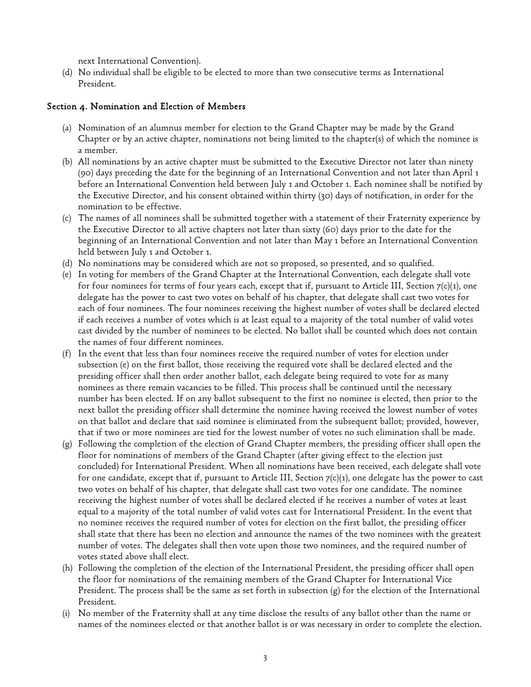next International Convention).

(d) No individual shall be eligible to be elected to more than two consecutive terms as International President.

## Section 4. Nomination and Election of Members

- (a) Nomination of an alumnus member for election to the Grand Chapter may be made by the Grand Chapter or by an active chapter, nominations not being limited to the chapter(s) of which the nominee is a member.
- (b) All nominations by an active chapter must be submitted to the Executive Director not later than ninety (90) days preceding the date for the beginning of an International Convention and not later than April 1 before an International Convention held between July 1 and October 1. Each nominee shall be notified by the Executive Director, and his consent obtained within thirty (30) days of notification, in order for the nomination to be effective.
- (c) The names of all nominees shall be submitted together with a statement of their Fraternity experience by the Executive Director to all active chapters not later than sixty (60) days prior to the date for the beginning of an International Convention and not later than May 1 before an International Convention held between July 1 and October 1.
- (d) No nominations may be considered which are not so proposed, so presented, and so qualified.
- (e) In voting for members of the Grand Chapter at the International Convention, each delegate shall vote for four nominees for terms of four years each, except that if, pursuant to Article III, Section 7(c)(1), one delegate has the power to cast two votes on behalf of his chapter, that delegate shall cast two votes for each of four nominees. The four nominees receiving the highest number of votes shall be declared elected if each receives a number of votes which is at least equal to a majority of the total number of valid votes cast divided by the number of nominees to be elected. No ballot shall be counted which does not contain the names of four different nominees.
- (f) In the event that less than four nominees receive the required number of votes for election under subsection (e) on the first ballot, those receiving the required vote shall be declared elected and the presiding officer shall then order another ballot, each delegate being required to vote for as many nominees as there remain vacancies to be filled. This process shall be continued until the necessary number has been elected. If on any ballot subsequent to the first no nominee is elected, then prior to the next ballot the presiding officer shall determine the nominee having received the lowest number of votes on that ballot and declare that said nominee is eliminated from the subsequent ballot; provided, however, that if two or more nominees are tied for the lowest number of votes no such elimination shall be made.
- (g) Following the completion of the election of Grand Chapter members, the presiding officer shall open the floor for nominations of members of the Grand Chapter (after giving effect to the election just concluded) for International President. When all nominations have been received, each delegate shall vote for one candidate, except that if, pursuant to Article III, Section 7(c)(1), one delegate has the power to cast two votes on behalf of his chapter, that delegate shall cast two votes for one candidate. The nominee receiving the highest number of votes shall be declared elected if he receives a number of votes at least equal to a majority of the total number of valid votes cast for International President. In the event that no nominee receives the required number of votes for election on the first ballot, the presiding officer shall state that there has been no election and announce the names of the two nominees with the greatest number of votes. The delegates shall then vote upon those two nominees, and the required number of votes stated above shall elect.
- (h) Following the completion of the election of the International President, the presiding officer shall open the floor for nominations of the remaining members of the Grand Chapter for International Vice President. The process shall be the same as set forth in subsection (g) for the election of the International President.
- (i) No member of the Fraternity shall at any time disclose the results of any ballot other than the name or names of the nominees elected or that another ballot is or was necessary in order to complete the election.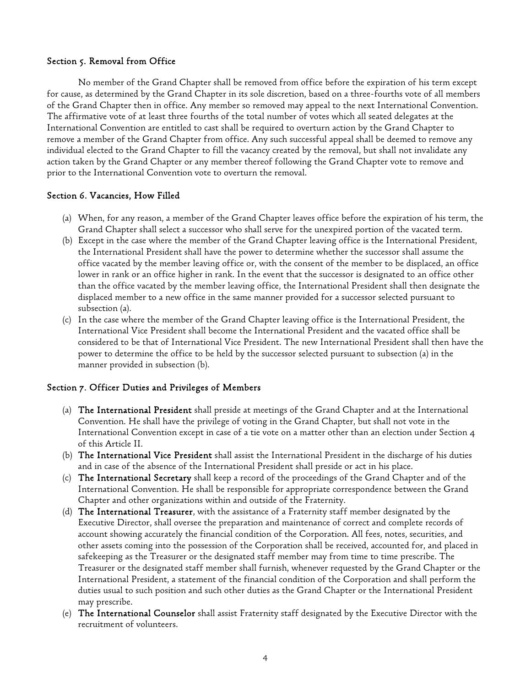### Section 5. Removal from Office

No member of the Grand Chapter shall be removed from office before the expiration of his term except for cause, as determined by the Grand Chapter in its sole discretion, based on a three-fourths vote of all members of the Grand Chapter then in office. Any member so removed may appeal to the next International Convention. The affirmative vote of at least three fourths of the total number of votes which all seated delegates at the International Convention are entitled to cast shall be required to overturn action by the Grand Chapter to remove a member of the Grand Chapter from office. Any such successful appeal shall be deemed to remove any individual elected to the Grand Chapter to fill the vacancy created by the removal, but shall not invalidate any action taken by the Grand Chapter or any member thereof following the Grand Chapter vote to remove and prior to the International Convention vote to overturn the removal.

### Section 6. Vacancies, How Filled

- (a) When, for any reason, a member of the Grand Chapter leaves office before the expiration of his term, the Grand Chapter shall select a successor who shall serve for the unexpired portion of the vacated term.
- (b) Except in the case where the member of the Grand Chapter leaving office is the International President, the International President shall have the power to determine whether the successor shall assume the office vacated by the member leaving office or, with the consent of the member to be displaced, an office lower in rank or an office higher in rank. In the event that the successor is designated to an office other than the office vacated by the member leaving office, the International President shall then designate the displaced member to a new office in the same manner provided for a successor selected pursuant to subsection (a).
- (c) In the case where the member of the Grand Chapter leaving office is the International President, the International Vice President shall become the International President and the vacated office shall be considered to be that of International Vice President. The new International President shall then have the power to determine the office to be held by the successor selected pursuant to subsection (a) in the manner provided in subsection (b).

## Section 7. Officer Duties and Privileges of Members

- (a) The International President shall preside at meetings of the Grand Chapter and at the International Convention. He shall have the privilege of voting in the Grand Chapter, but shall not vote in the International Convention except in case of a tie vote on a matter other than an election under Section 4 of this Article II.
- (b) The International Vice President shall assist the International President in the discharge of his duties and in case of the absence of the International President shall preside or act in his place.
- (c) The International Secretary shall keep a record of the proceedings of the Grand Chapter and of the International Convention. He shall be responsible for appropriate correspondence between the Grand Chapter and other organizations within and outside of the Fraternity.
- (d) The International Treasurer, with the assistance of a Fraternity staff member designated by the Executive Director, shall oversee the preparation and maintenance of correct and complete records of account showing accurately the financial condition of the Corporation. All fees, notes, securities, and other assets coming into the possession of the Corporation shall be received, accounted for, and placed in safekeeping as the Treasurer or the designated staff member may from time to time prescribe. The Treasurer or the designated staff member shall furnish, whenever requested by the Grand Chapter or the International President, a statement of the financial condition of the Corporation and shall perform the duties usual to such position and such other duties as the Grand Chapter or the International President may prescribe.
- (e) The International Counselor shall assist Fraternity staff designated by the Executive Director with the recruitment of volunteers.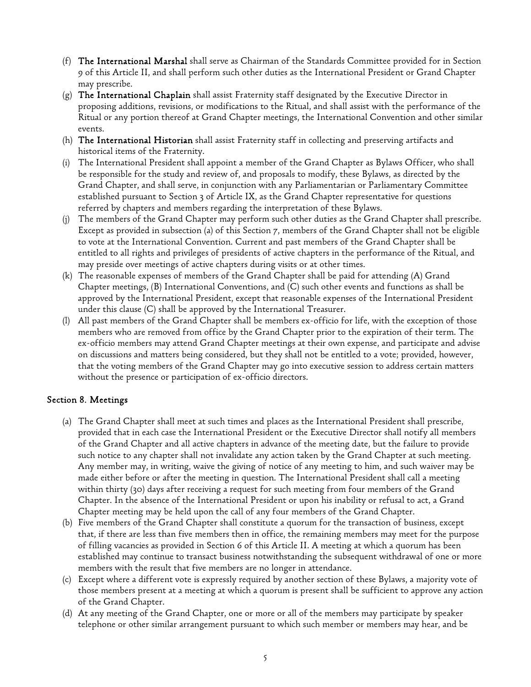- (f) The International Marshal shall serve as Chairman of the Standards Committee provided for in Section 9 of this Article II, and shall perform such other duties as the International President or Grand Chapter may prescribe.
- (g) The International Chaplain shall assist Fraternity staff designated by the Executive Director in proposing additions, revisions, or modifications to the Ritual, and shall assist with the performance of the Ritual or any portion thereof at Grand Chapter meetings, the International Convention and other similar events.
- (h) The International Historian shall assist Fraternity staff in collecting and preserving artifacts and historical items of the Fraternity.
- (i) The International President shall appoint a member of the Grand Chapter as Bylaws Officer, who shall be responsible for the study and review of, and proposals to modify, these Bylaws, as directed by the Grand Chapter, and shall serve, in conjunction with any Parliamentarian or Parliamentary Committee established pursuant to Section 3 of Article IX, as the Grand Chapter representative for questions referred by chapters and members regarding the interpretation of these Bylaws.
- (j) The members of the Grand Chapter may perform such other duties as the Grand Chapter shall prescribe. Except as provided in subsection (a) of this Section 7, members of the Grand Chapter shall not be eligible to vote at the International Convention. Current and past members of the Grand Chapter shall be entitled to all rights and privileges of presidents of active chapters in the performance of the Ritual, and may preside over meetings of active chapters during visits or at other times.
- (k) The reasonable expenses of members of the Grand Chapter shall be paid for attending (A) Grand Chapter meetings, (B) International Conventions, and (C) such other events and functions as shall be approved by the International President, except that reasonable expenses of the International President under this clause (C) shall be approved by the International Treasurer.
- (l) All past members of the Grand Chapter shall be members ex-officio for life, with the exception of those members who are removed from office by the Grand Chapter prior to the expiration of their term. The ex-officio members may attend Grand Chapter meetings at their own expense, and participate and advise on discussions and matters being considered, but they shall not be entitled to a vote; provided, however, that the voting members of the Grand Chapter may go into executive session to address certain matters without the presence or participation of ex-officio directors.

## Section 8. Meetings

- (a) The Grand Chapter shall meet at such times and places as the International President shall prescribe, provided that in each case the International President or the Executive Director shall notify all members of the Grand Chapter and all active chapters in advance of the meeting date, but the failure to provide such notice to any chapter shall not invalidate any action taken by the Grand Chapter at such meeting. Any member may, in writing, waive the giving of notice of any meeting to him, and such waiver may be made either before or after the meeting in question. The International President shall call a meeting within thirty (30) days after receiving a request for such meeting from four members of the Grand Chapter. In the absence of the International President or upon his inability or refusal to act, a Grand Chapter meeting may be held upon the call of any four members of the Grand Chapter.
- (b) Five members of the Grand Chapter shall constitute a quorum for the transaction of business, except that, if there are less than five members then in office, the remaining members may meet for the purpose of filling vacancies as provided in Section 6 of this Article II. A meeting at which a quorum has been established may continue to transact business notwithstanding the subsequent withdrawal of one or more members with the result that five members are no longer in attendance.
- (c) Except where a different vote is expressly required by another section of these Bylaws, a majority vote of those members present at a meeting at which a quorum is present shall be sufficient to approve any action of the Grand Chapter.
- (d) At any meeting of the Grand Chapter, one or more or all of the members may participate by speaker telephone or other similar arrangement pursuant to which such member or members may hear, and be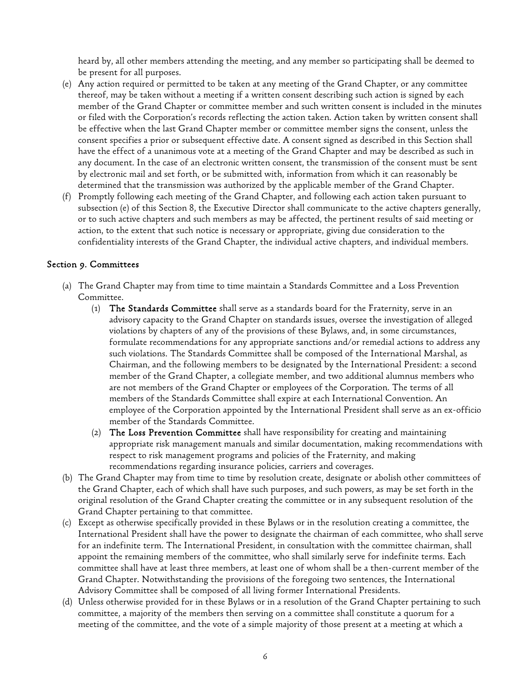heard by, all other members attending the meeting, and any member so participating shall be deemed to be present for all purposes.

- (e) Any action required or permitted to be taken at any meeting of the Grand Chapter, or any committee thereof, may be taken without a meeting if a written consent describing such action is signed by each member of the Grand Chapter or committee member and such written consent is included in the minutes or filed with the Corporation's records reflecting the action taken. Action taken by written consent shall be effective when the last Grand Chapter member or committee member signs the consent, unless the consent specifies a prior or subsequent effective date. A consent signed as described in this Section shall have the effect of a unanimous vote at a meeting of the Grand Chapter and may be described as such in any document. In the case of an electronic written consent, the transmission of the consent must be sent by electronic mail and set forth, or be submitted with, information from which it can reasonably be determined that the transmission was authorized by the applicable member of the Grand Chapter.
- (f) Promptly following each meeting of the Grand Chapter, and following each action taken pursuant to subsection (e) of this Section 8, the Executive Director shall communicate to the active chapters generally, or to such active chapters and such members as may be affected, the pertinent results of said meeting or action, to the extent that such notice is necessary or appropriate, giving due consideration to the confidentiality interests of the Grand Chapter, the individual active chapters, and individual members.

## Section 9. Committees

- (a) The Grand Chapter may from time to time maintain a Standards Committee and a Loss Prevention Committee.
	- $(1)$  The Standards Committee shall serve as a standards board for the Fraternity, serve in an advisory capacity to the Grand Chapter on standards issues, oversee the investigation of alleged violations by chapters of any of the provisions of these Bylaws, and, in some circumstances, formulate recommendations for any appropriate sanctions and/or remedial actions to address any such violations. The Standards Committee shall be composed of the International Marshal, as Chairman, and the following members to be designated by the International President: a second member of the Grand Chapter, a collegiate member, and two additional alumnus members who are not members of the Grand Chapter or employees of the Corporation. The terms of all members of the Standards Committee shall expire at each International Convention. An employee of the Corporation appointed by the International President shall serve as an ex-officio member of the Standards Committee.
	- $(2)$  The Loss Prevention Committee shall have responsibility for creating and maintaining appropriate risk management manuals and similar documentation, making recommendations with respect to risk management programs and policies of the Fraternity, and making recommendations regarding insurance policies, carriers and coverages.
- (b) The Grand Chapter may from time to time by resolution create, designate or abolish other committees of the Grand Chapter, each of which shall have such purposes, and such powers, as may be set forth in the original resolution of the Grand Chapter creating the committee or in any subsequent resolution of the Grand Chapter pertaining to that committee.
- (c) Except as otherwise specifically provided in these Bylaws or in the resolution creating a committee, the International President shall have the power to designate the chairman of each committee, who shall serve for an indefinite term. The International President, in consultation with the committee chairman, shall appoint the remaining members of the committee, who shall similarly serve for indefinite terms. Each committee shall have at least three members, at least one of whom shall be a then-current member of the Grand Chapter. Notwithstanding the provisions of the foregoing two sentences, the International Advisory Committee shall be composed of all living former International Presidents.
- (d) Unless otherwise provided for in these Bylaws or in a resolution of the Grand Chapter pertaining to such committee, a majority of the members then serving on a committee shall constitute a quorum for a meeting of the committee, and the vote of a simple majority of those present at a meeting at which a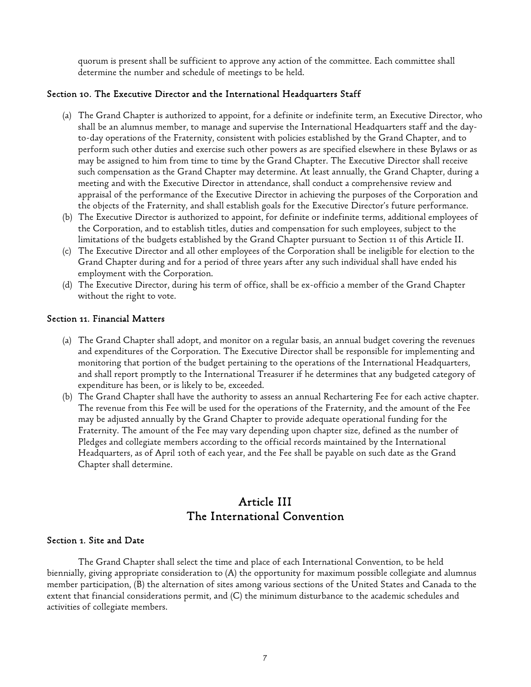quorum is present shall be sufficient to approve any action of the committee. Each committee shall determine the number and schedule of meetings to be held.

## Section 10. The Executive Director and the International Headquarters Staff

- (a) The Grand Chapter is authorized to appoint, for a definite or indefinite term, an Executive Director, who shall be an alumnus member, to manage and supervise the International Headquarters staff and the dayto-day operations of the Fraternity, consistent with policies established by the Grand Chapter, and to perform such other duties and exercise such other powers as are specified elsewhere in these Bylaws or as may be assigned to him from time to time by the Grand Chapter. The Executive Director shall receive such compensation as the Grand Chapter may determine. At least annually, the Grand Chapter, during a meeting and with the Executive Director in attendance, shall conduct a comprehensive review and appraisal of the performance of the Executive Director in achieving the purposes of the Corporation and the objects of the Fraternity, and shall establish goals for the Executive Director's future performance.
- (b) The Executive Director is authorized to appoint, for definite or indefinite terms, additional employees of the Corporation, and to establish titles, duties and compensation for such employees, subject to the limitations of the budgets established by the Grand Chapter pursuant to Section 11 of this Article II.
- (c) The Executive Director and all other employees of the Corporation shall be ineligible for election to the Grand Chapter during and for a period of three years after any such individual shall have ended his employment with the Corporation.
- (d) The Executive Director, during his term of office, shall be ex-officio a member of the Grand Chapter without the right to vote.

#### Section 11. Financial Matters

- (a) The Grand Chapter shall adopt, and monitor on a regular basis, an annual budget covering the revenues and expenditures of the Corporation. The Executive Director shall be responsible for implementing and monitoring that portion of the budget pertaining to the operations of the International Headquarters, and shall report promptly to the International Treasurer if he determines that any budgeted category of expenditure has been, or is likely to be, exceeded.
- (b) The Grand Chapter shall have the authority to assess an annual Rechartering Fee for each active chapter. The revenue from this Fee will be used for the operations of the Fraternity, and the amount of the Fee may be adjusted annually by the Grand Chapter to provide adequate operational funding for the Fraternity. The amount of the Fee may vary depending upon chapter size, defined as the number of Pledges and collegiate members according to the official records maintained by the International Headquarters, as of April 10th of each year, and the Fee shall be payable on such date as the Grand Chapter shall determine.

# Article III The International Convention

#### Section 1. Site and Date

 The Grand Chapter shall select the time and place of each International Convention, to be held biennially, giving appropriate consideration to (A) the opportunity for maximum possible collegiate and alumnus member participation, (B) the alternation of sites among various sections of the United States and Canada to the extent that financial considerations permit, and (C) the minimum disturbance to the academic schedules and activities of collegiate members.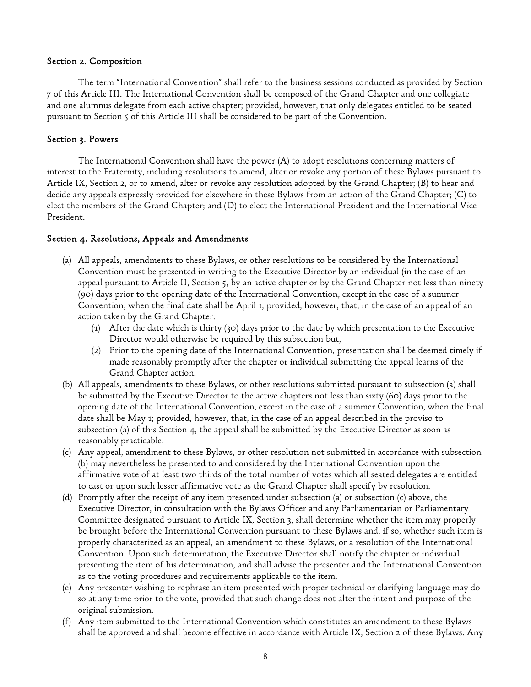#### Section 2. Composition

 The term "International Convention" shall refer to the business sessions conducted as provided by Section 7 of this Article III. The International Convention shall be composed of the Grand Chapter and one collegiate and one alumnus delegate from each active chapter; provided, however, that only delegates entitled to be seated pursuant to Section 5 of this Article III shall be considered to be part of the Convention.

## Section 3. Powers

 The International Convention shall have the power (A) to adopt resolutions concerning matters of interest to the Fraternity, including resolutions to amend, alter or revoke any portion of these Bylaws pursuant to Article IX, Section 2, or to amend, alter or revoke any resolution adopted by the Grand Chapter; (B) to hear and decide any appeals expressly provided for elsewhere in these Bylaws from an action of the Grand Chapter; (C) to elect the members of the Grand Chapter; and (D) to elect the International President and the International Vice President.

## Section 4. Resolutions, Appeals and Amendments

- (a) All appeals, amendments to these Bylaws, or other resolutions to be considered by the International Convention must be presented in writing to the Executive Director by an individual (in the case of an appeal pursuant to Article II, Section 5, by an active chapter or by the Grand Chapter not less than ninety (90) days prior to the opening date of the International Convention, except in the case of a summer Convention, when the final date shall be April 1; provided, however, that, in the case of an appeal of an action taken by the Grand Chapter:
	- (1) After the date which is thirty (30) days prior to the date by which presentation to the Executive Director would otherwise be required by this subsection but,
	- (2) Prior to the opening date of the International Convention, presentation shall be deemed timely if made reasonably promptly after the chapter or individual submitting the appeal learns of the Grand Chapter action.
- (b) All appeals, amendments to these Bylaws, or other resolutions submitted pursuant to subsection (a) shall be submitted by the Executive Director to the active chapters not less than sixty (60) days prior to the opening date of the International Convention, except in the case of a summer Convention, when the final date shall be May 1; provided, however, that, in the case of an appeal described in the proviso to subsection (a) of this Section 4, the appeal shall be submitted by the Executive Director as soon as reasonably practicable.
- (c) Any appeal, amendment to these Bylaws, or other resolution not submitted in accordance with subsection (b) may nevertheless be presented to and considered by the International Convention upon the affirmative vote of at least two thirds of the total number of votes which all seated delegates are entitled to cast or upon such lesser affirmative vote as the Grand Chapter shall specify by resolution.
- (d) Promptly after the receipt of any item presented under subsection (a) or subsection (c) above, the Executive Director, in consultation with the Bylaws Officer and any Parliamentarian or Parliamentary Committee designated pursuant to Article IX, Section 3, shall determine whether the item may properly be brought before the International Convention pursuant to these Bylaws and, if so, whether such item is properly characterized as an appeal, an amendment to these Bylaws, or a resolution of the International Convention. Upon such determination, the Executive Director shall notify the chapter or individual presenting the item of his determination, and shall advise the presenter and the International Convention as to the voting procedures and requirements applicable to the item.
- (e) Any presenter wishing to rephrase an item presented with proper technical or clarifying language may do so at any time prior to the vote, provided that such change does not alter the intent and purpose of the original submission.
- (f) Any item submitted to the International Convention which constitutes an amendment to these Bylaws shall be approved and shall become effective in accordance with Article IX, Section 2 of these Bylaws. Any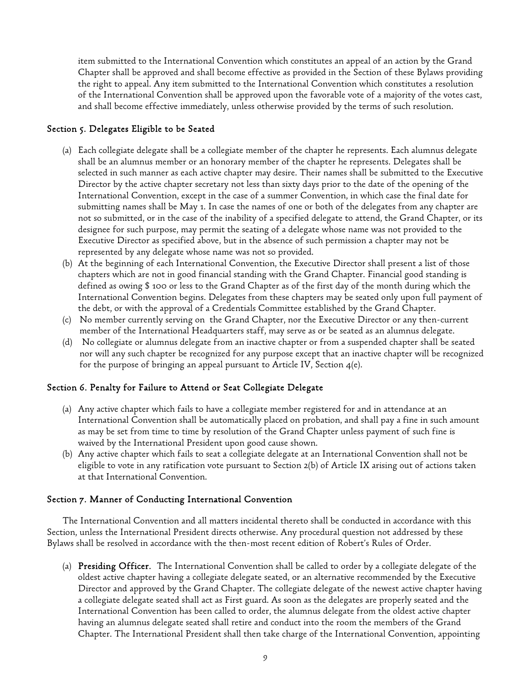item submitted to the International Convention which constitutes an appeal of an action by the Grand Chapter shall be approved and shall become effective as provided in the Section of these Bylaws providing the right to appeal. Any item submitted to the International Convention which constitutes a resolution of the International Convention shall be approved upon the favorable vote of a majority of the votes cast, and shall become effective immediately, unless otherwise provided by the terms of such resolution.

## Section 5. Delegates Eligible to be Seated

- (a) Each collegiate delegate shall be a collegiate member of the chapter he represents. Each alumnus delegate shall be an alumnus member or an honorary member of the chapter he represents. Delegates shall be selected in such manner as each active chapter may desire. Their names shall be submitted to the Executive Director by the active chapter secretary not less than sixty days prior to the date of the opening of the International Convention, except in the case of a summer Convention, in which case the final date for submitting names shall be May 1. In case the names of one or both of the delegates from any chapter are not so submitted, or in the case of the inability of a specified delegate to attend, the Grand Chapter, or its designee for such purpose, may permit the seating of a delegate whose name was not provided to the Executive Director as specified above, but in the absence of such permission a chapter may not be represented by any delegate whose name was not so provided.
- (b) At the beginning of each International Convention, the Executive Director shall present a list of those chapters which are not in good financial standing with the Grand Chapter. Financial good standing is defined as owing \$ 100 or less to the Grand Chapter as of the first day of the month during which the International Convention begins. Delegates from these chapters may be seated only upon full payment of the debt, or with the approval of a Credentials Committee established by the Grand Chapter.
- (c) No member currently serving on the Grand Chapter, nor the Executive Director or any then-current member of the International Headquarters staff, may serve as or be seated as an alumnus delegate.
- (d) No collegiate or alumnus delegate from an inactive chapter or from a suspended chapter shall be seated nor will any such chapter be recognized for any purpose except that an inactive chapter will be recognized for the purpose of bringing an appeal pursuant to Article IV, Section 4(e).

## Section 6. Penalty for Failure to Attend or Seat Collegiate Delegate

- (a) Any active chapter which fails to have a collegiate member registered for and in attendance at an International Convention shall be automatically placed on probation, and shall pay a fine in such amount as may be set from time to time by resolution of the Grand Chapter unless payment of such fine is waived by the International President upon good cause shown.
- (b) Any active chapter which fails to seat a collegiate delegate at an International Convention shall not be eligible to vote in any ratification vote pursuant to Section 2(b) of Article IX arising out of actions taken at that International Convention.

## Section 7. Manner of Conducting International Convention

The International Convention and all matters incidental thereto shall be conducted in accordance with this Section, unless the International President directs otherwise. Any procedural question not addressed by these Bylaws shall be resolved in accordance with the then-most recent edition of Robert's Rules of Order.

(a) Presiding Officer. The International Convention shall be called to order by a collegiate delegate of the oldest active chapter having a collegiate delegate seated, or an alternative recommended by the Executive Director and approved by the Grand Chapter. The collegiate delegate of the newest active chapter having a collegiate delegate seated shall act as First guard. As soon as the delegates are properly seated and the International Convention has been called to order, the alumnus delegate from the oldest active chapter having an alumnus delegate seated shall retire and conduct into the room the members of the Grand Chapter. The International President shall then take charge of the International Convention, appointing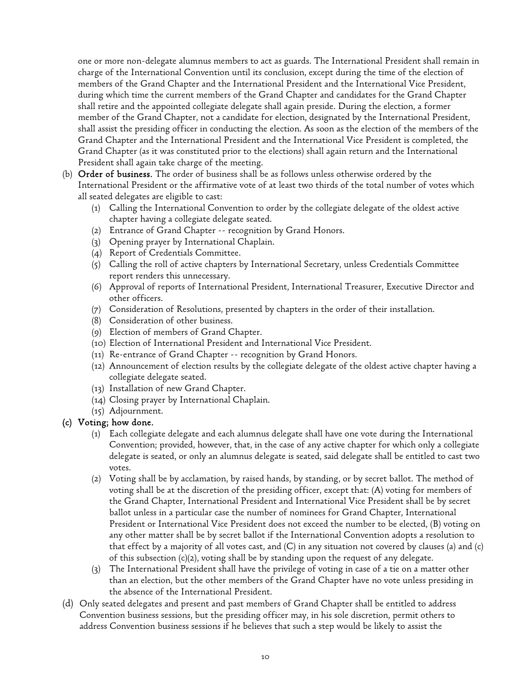one or more non-delegate alumnus members to act as guards. The International President shall remain in charge of the International Convention until its conclusion, except during the time of the election of members of the Grand Chapter and the International President and the International Vice President, during which time the current members of the Grand Chapter and candidates for the Grand Chapter shall retire and the appointed collegiate delegate shall again preside. During the election, a former member of the Grand Chapter, not a candidate for election, designated by the International President, shall assist the presiding officer in conducting the election. As soon as the election of the members of the Grand Chapter and the International President and the International Vice President is completed, the Grand Chapter (as it was constituted prior to the elections) shall again return and the International President shall again take charge of the meeting.

- (b) Order of business. The order of business shall be as follows unless otherwise ordered by the International President or the affirmative vote of at least two thirds of the total number of votes which all seated delegates are eligible to cast:
	- (1) Calling the International Convention to order by the collegiate delegate of the oldest active chapter having a collegiate delegate seated.
	- (2) Entrance of Grand Chapter -- recognition by Grand Honors.
	- (3) Opening prayer by International Chaplain.
	- (4) Report of Credentials Committee.
	- (5) Calling the roll of active chapters by International Secretary, unless Credentials Committee report renders this unnecessary.
	- (6) Approval of reports of International President, International Treasurer, Executive Director and other officers.
	- (7) Consideration of Resolutions, presented by chapters in the order of their installation.
	- (8) Consideration of other business.
	- (9) Election of members of Grand Chapter.
	- (10) Election of International President and International Vice President.
	- (11) Re-entrance of Grand Chapter -- recognition by Grand Honors.
	- (12) Announcement of election results by the collegiate delegate of the oldest active chapter having a collegiate delegate seated.
	- (13) Installation of new Grand Chapter.
	- (14) Closing prayer by International Chaplain.
	- (15) Adjournment.

## (c) Voting; how done.

- (1) Each collegiate delegate and each alumnus delegate shall have one vote during the International Convention; provided, however, that, in the case of any active chapter for which only a collegiate delegate is seated, or only an alumnus delegate is seated, said delegate shall be entitled to cast two votes.
- (2) Voting shall be by acclamation, by raised hands, by standing, or by secret ballot. The method of voting shall be at the discretion of the presiding officer, except that: (A) voting for members of the Grand Chapter, International President and International Vice President shall be by secret ballot unless in a particular case the number of nominees for Grand Chapter, International President or International Vice President does not exceed the number to be elected, (B) voting on any other matter shall be by secret ballot if the International Convention adopts a resolution to that effect by a majority of all votes cast, and  $(C)$  in any situation not covered by clauses (a) and (c) of this subsection (c)(2), voting shall be by standing upon the request of any delegate.
- (3) The International President shall have the privilege of voting in case of a tie on a matter other than an election, but the other members of the Grand Chapter have no vote unless presiding in the absence of the International President.
- (d) Only seated delegates and present and past members of Grand Chapter shall be entitled to address Convention business sessions, but the presiding officer may, in his sole discretion, permit others to address Convention business sessions if he believes that such a step would be likely to assist the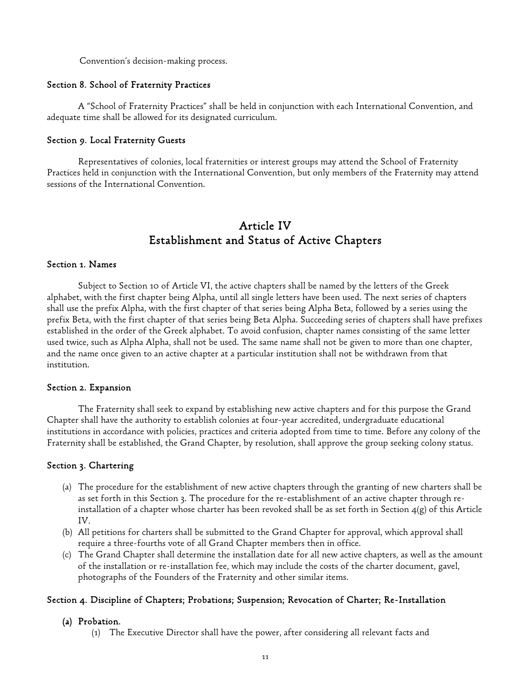Convention's decision-making process.

#### Section 8. School of Fraternity Practices

 A "School of Fraternity Practices" shall be held in conjunction with each International Convention, and adequate time shall be allowed for its designated curriculum.

#### Section 9. Local Fraternity Guests

 Representatives of colonies, local fraternities or interest groups may attend the School of Fraternity Practices held in conjunction with the International Convention, but only members of the Fraternity may attend sessions of the International Convention.

# Article IV Establishment and Status of Active Chapters

#### Section 1. Names

 Subject to Section 10 of Article VI, the active chapters shall be named by the letters of the Greek alphabet, with the first chapter being Alpha, until all single letters have been used. The next series of chapters shall use the prefix Alpha, with the first chapter of that series being Alpha Beta, followed by a series using the prefix Beta, with the first chapter of that series being Beta Alpha. Succeeding series of chapters shall have prefixes established in the order of the Greek alphabet. To avoid confusion, chapter names consisting of the same letter used twice, such as Alpha Alpha, shall not be used. The same name shall not be given to more than one chapter, and the name once given to an active chapter at a particular institution shall not be withdrawn from that institution.

#### Section 2. Expansion

 The Fraternity shall seek to expand by establishing new active chapters and for this purpose the Grand Chapter shall have the authority to establish colonies at four-year accredited, undergraduate educational institutions in accordance with policies, practices and criteria adopted from time to time. Before any colony of the Fraternity shall be established, the Grand Chapter, by resolution, shall approve the group seeking colony status.

#### Section 3. Chartering

- (a) The procedure for the establishment of new active chapters through the granting of new charters shall be as set forth in this Section 3. The procedure for the re-establishment of an active chapter through reinstallation of a chapter whose charter has been revoked shall be as set forth in Section 4(g) of this Article IV.
- (b) All petitions for charters shall be submitted to the Grand Chapter for approval, which approval shall require a three-fourths vote of all Grand Chapter members then in office.
- (c) The Grand Chapter shall determine the installation date for all new active chapters, as well as the amount of the installation or re-installation fee, which may include the costs of the charter document, gavel, photographs of the Founders of the Fraternity and other similar items.

## Section 4. Discipline of Chapters; Probations; Suspension; Revocation of Charter; Re-Installation

#### (a) Probation.

(1) The Executive Director shall have the power, after considering all relevant facts and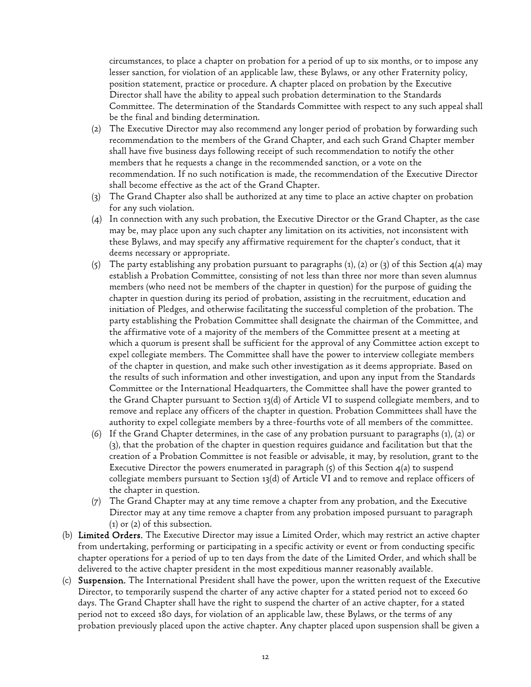circumstances, to place a chapter on probation for a period of up to six months, or to impose any lesser sanction, for violation of an applicable law, these Bylaws, or any other Fraternity policy, position statement, practice or procedure. A chapter placed on probation by the Executive Director shall have the ability to appeal such probation determination to the Standards Committee. The determination of the Standards Committee with respect to any such appeal shall be the final and binding determination.

- (2) The Executive Director may also recommend any longer period of probation by forwarding such recommendation to the members of the Grand Chapter, and each such Grand Chapter member shall have five business days following receipt of such recommendation to notify the other members that he requests a change in the recommended sanction, or a vote on the recommendation. If no such notification is made, the recommendation of the Executive Director shall become effective as the act of the Grand Chapter.
- (3) The Grand Chapter also shall be authorized at any time to place an active chapter on probation for any such violation.
- (4) In connection with any such probation, the Executive Director or the Grand Chapter, as the case may be, may place upon any such chapter any limitation on its activities, not inconsistent with these Bylaws, and may specify any affirmative requirement for the chapter's conduct, that it deems necessary or appropriate.
- (5) The party establishing any probation pursuant to paragraphs (1), (2) or (3) of this Section 4(a) may establish a Probation Committee, consisting of not less than three nor more than seven alumnus members (who need not be members of the chapter in question) for the purpose of guiding the chapter in question during its period of probation, assisting in the recruitment, education and initiation of Pledges, and otherwise facilitating the successful completion of the probation. The party establishing the Probation Committee shall designate the chairman of the Committee, and the affirmative vote of a majority of the members of the Committee present at a meeting at which a quorum is present shall be sufficient for the approval of any Committee action except to expel collegiate members. The Committee shall have the power to interview collegiate members of the chapter in question, and make such other investigation as it deems appropriate. Based on the results of such information and other investigation, and upon any input from the Standards Committee or the International Headquarters, the Committee shall have the power granted to the Grand Chapter pursuant to Section 13(d) of Article VI to suspend collegiate members, and to remove and replace any officers of the chapter in question. Probation Committees shall have the authority to expel collegiate members by a three-fourths vote of all members of the committee.
- (6) If the Grand Chapter determines, in the case of any probation pursuant to paragraphs (1), (2) or (3), that the probation of the chapter in question requires guidance and facilitation but that the creation of a Probation Committee is not feasible or advisable, it may, by resolution, grant to the Executive Director the powers enumerated in paragraph  $(5)$  of this Section  $4(a)$  to suspend collegiate members pursuant to Section 13(d) of Article VI and to remove and replace officers of the chapter in question.
- (7) The Grand Chapter may at any time remove a chapter from any probation, and the Executive Director may at any time remove a chapter from any probation imposed pursuant to paragraph (1) or (2) of this subsection.
- (b) Limited Orders. The Executive Director may issue a Limited Order, which may restrict an active chapter from undertaking, performing or participating in a specific activity or event or from conducting specific chapter operations for a period of up to ten days from the date of the Limited Order, and which shall be delivered to the active chapter president in the most expeditious manner reasonably available.
- (c) Suspension. The International President shall have the power, upon the written request of the Executive Director, to temporarily suspend the charter of any active chapter for a stated period not to exceed 60 days. The Grand Chapter shall have the right to suspend the charter of an active chapter, for a stated period not to exceed 180 days, for violation of an applicable law, these Bylaws, or the terms of any probation previously placed upon the active chapter. Any chapter placed upon suspension shall be given a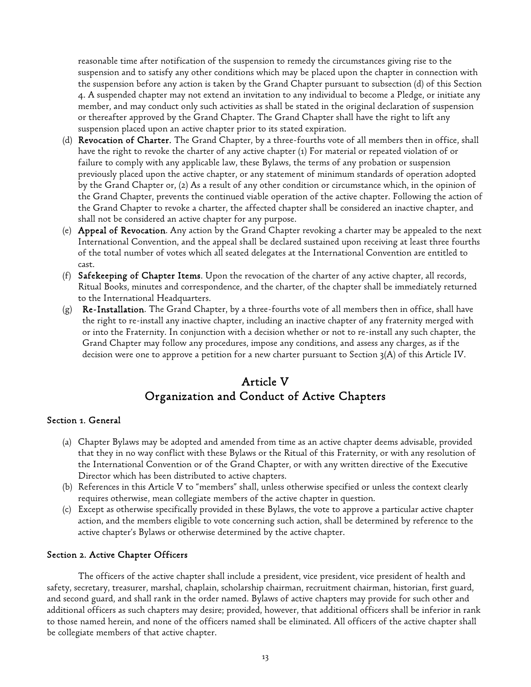reasonable time after notification of the suspension to remedy the circumstances giving rise to the suspension and to satisfy any other conditions which may be placed upon the chapter in connection with the suspension before any action is taken by the Grand Chapter pursuant to subsection (d) of this Section 4. A suspended chapter may not extend an invitation to any individual to become a Pledge, or initiate any member, and may conduct only such activities as shall be stated in the original declaration of suspension or thereafter approved by the Grand Chapter. The Grand Chapter shall have the right to lift any suspension placed upon an active chapter prior to its stated expiration.

- (d) Revocation of Charter. The Grand Chapter, by a three-fourths vote of all members then in office, shall have the right to revoke the charter of any active chapter (1) For material or repeated violation of or failure to comply with any applicable law, these Bylaws, the terms of any probation or suspension previously placed upon the active chapter, or any statement of minimum standards of operation adopted by the Grand Chapter or, (2) As a result of any other condition or circumstance which, in the opinion of the Grand Chapter, prevents the continued viable operation of the active chapter. Following the action of the Grand Chapter to revoke a charter, the affected chapter shall be considered an inactive chapter, and shall not be considered an active chapter for any purpose.
- (e) **Appeal of Revocation**. Any action by the Grand Chapter revoking a charter may be appealed to the next International Convention, and the appeal shall be declared sustained upon receiving at least three fourths of the total number of votes which all seated delegates at the International Convention are entitled to cast.
- (f) Safekeeping of Chapter Items. Upon the revocation of the charter of any active chapter, all records, Ritual Books, minutes and correspondence, and the charter, of the chapter shall be immediately returned to the International Headquarters.
- (g) Re-Installation. The Grand Chapter, by a three-fourths vote of all members then in office, shall have the right to re-install any inactive chapter, including an inactive chapter of any fraternity merged with or into the Fraternity. In conjunction with a decision whether or not to re-install any such chapter, the Grand Chapter may follow any procedures, impose any conditions, and assess any charges, as if the decision were one to approve a petition for a new charter pursuant to Section 3(A) of this Article IV.

# Article V Organization and Conduct of Active Chapters

## Section 1. General

- (a) Chapter Bylaws may be adopted and amended from time as an active chapter deems advisable, provided that they in no way conflict with these Bylaws or the Ritual of this Fraternity, or with any resolution of the International Convention or of the Grand Chapter, or with any written directive of the Executive Director which has been distributed to active chapters.
- (b) References in this Article V to "members" shall, unless otherwise specified or unless the context clearly requires otherwise, mean collegiate members of the active chapter in question.
- (c) Except as otherwise specifically provided in these Bylaws, the vote to approve a particular active chapter action, and the members eligible to vote concerning such action, shall be determined by reference to the active chapter's Bylaws or otherwise determined by the active chapter.

## Section 2. Active Chapter Officers

 The officers of the active chapter shall include a president, vice president, vice president of health and safety, secretary, treasurer, marshal, chaplain, scholarship chairman, recruitment chairman, historian, first guard, and second guard, and shall rank in the order named. Bylaws of active chapters may provide for such other and additional officers as such chapters may desire; provided, however, that additional officers shall be inferior in rank to those named herein, and none of the officers named shall be eliminated. All officers of the active chapter shall be collegiate members of that active chapter.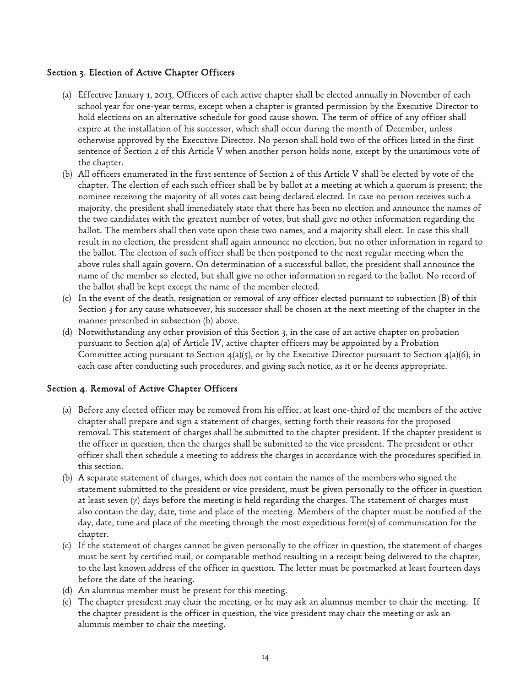## Section 3. Election of Active Chapter Officers

- (a) Effective January 1, 2013, Officers of each active chapter shall be elected annually in November of each school year for one-year terms, except when a chapter is granted permission by the Executive Director to hold elections on an alternative schedule for good cause shown. The term of office of any officer shall expire at the installation of his successor, which shall occur during the month of December, unless otherwise approved by the Executive Director. No person shall hold two of the offices listed in the first sentence of Section 2 of this Article V when another person holds none, except by the unanimous vote of the chapter.
- (b) All officers enumerated in the first sentence of Section 2 of this Article V shall be elected by vote of the chapter. The election of each such officer shall be by ballot at a meeting at which a quorum is present; the nominee receiving the majority of all votes cast being declared elected. In case no person receives such a majority, the president shall immediately state that there has been no election and announce the names of the two candidates with the greatest number of votes, but shall give no other information regarding the ballot. The members shall then vote upon these two names, and a majority shall elect. In case this shall result in no election, the president shall again announce no election, but no other information in regard to the ballot. The election of such officer shall be then postponed to the next regular meeting when the above rules shall again govern. On determination of a successful ballot, the president shall announce the name of the member so elected, but shall give no other information in regard to the ballot. No record of the ballot shall be kept except the name of the member elected.
- (c) In the event of the death, resignation or removal of any officer elected pursuant to subsection (B) of this Section 3 for any cause whatsoever, his successor shall be chosen at the next meeting of the chapter in the manner prescribed in subsection (b) above.
- (d) Notwithstanding any other provision of this Section 3, in the case of an active chapter on probation pursuant to Section 4(a) of Article IV, active chapter officers may be appointed by a Probation Committee acting pursuant to Section  $4(a)(5)$ , or by the Executive Director pursuant to Section  $4(a)(6)$ , in each case after conducting such procedures, and giving such notice, as it or he deems appropriate.

## Section 4. Removal of Active Chapter Officers

- (a) Before any elected officer may be removed from his office, at least one-third of the members of the active chapter shall prepare and sign a statement of charges, setting forth their reasons for the proposed removal. This statement of charges shall be submitted to the chapter president. If the chapter president is the officer in question, then the charges shall be submitted to the vice president. The president or other officer shall then schedule a meeting to address the charges in accordance with the procedures specified in this section.
- (b) A separate statement of charges, which does not contain the names of the members who signed the statement submitted to the president or vice president, must be given personally to the officer in question at least seven (7) days before the meeting is held regarding the charges. The statement of charges must also contain the day, date, time and place of the meeting. Members of the chapter must be notified of the day, date, time and place of the meeting through the most expeditious form(s) of communication for the chapter.
- (c) If the statement of charges cannot be given personally to the officer in question, the statement of charges must be sent by certified mail, or comparable method resulting in a receipt being delivered to the chapter, to the last known address of the officer in question. The letter must be postmarked at least fourteen days before the date of the hearing.
- (d) An alumnus member must be present for this meeting.
- (e) The chapter president may chair the meeting, or he may ask an alumnus member to chair the meeting. If the chapter president is the officer in question, the vice president may chair the meeting or ask an alumnus member to chair the meeting.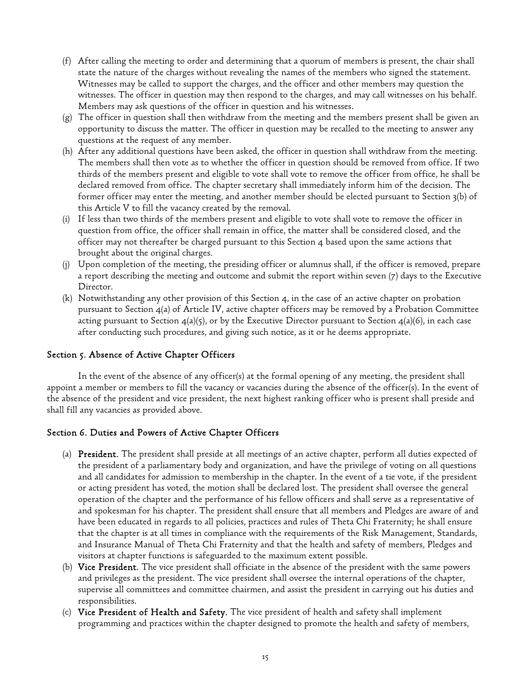- (f) After calling the meeting to order and determining that a quorum of members is present, the chair shall state the nature of the charges without revealing the names of the members who signed the statement. Witnesses may be called to support the charges, and the officer and other members may question the witnesses. The officer in question may then respond to the charges, and may call witnesses on his behalf. Members may ask questions of the officer in question and his witnesses.
- (g) The officer in question shall then withdraw from the meeting and the members present shall be given an opportunity to discuss the matter. The officer in question may be recalled to the meeting to answer any questions at the request of any member.
- (h) After any additional questions have been asked, the officer in question shall withdraw from the meeting. The members shall then vote as to whether the officer in question should be removed from office. If two thirds of the members present and eligible to vote shall vote to remove the officer from office, he shall be declared removed from office. The chapter secretary shall immediately inform him of the decision. The former officer may enter the meeting, and another member should be elected pursuant to Section 3(b) of this Article V to fill the vacancy created by the removal.
- (i) If less than two thirds of the members present and eligible to vote shall vote to remove the officer in question from office, the officer shall remain in office, the matter shall be considered closed, and the officer may not thereafter be charged pursuant to this Section 4 based upon the same actions that brought about the original charges.
- (j) Upon completion of the meeting, the presiding officer or alumnus shall, if the officer is removed, prepare a report describing the meeting and outcome and submit the report within seven (7) days to the Executive Director.
- (k) Notwithstanding any other provision of this Section 4, in the case of an active chapter on probation pursuant to Section 4(a) of Article IV, active chapter officers may be removed by a Probation Committee acting pursuant to Section  $4(a)(5)$ , or by the Executive Director pursuant to Section  $4(a)(6)$ , in each case after conducting such procedures, and giving such notice, as it or he deems appropriate.

## Section 5. Absence of Active Chapter Officers

 In the event of the absence of any officer(s) at the formal opening of any meeting, the president shall appoint a member or members to fill the vacancy or vacancies during the absence of the officer(s). In the event of the absence of the president and vice president, the next highest ranking officer who is present shall preside and shall fill any vacancies as provided above.

## Section 6. Duties and Powers of Active Chapter Officers

- (a) President. The president shall preside at all meetings of an active chapter, perform all duties expected of the president of a parliamentary body and organization, and have the privilege of voting on all questions and all candidates for admission to membership in the chapter. In the event of a tie vote, if the president or acting president has voted, the motion shall be declared lost. The president shall oversee the general operation of the chapter and the performance of his fellow officers and shall serve as a representative of and spokesman for his chapter. The president shall ensure that all members and Pledges are aware of and have been educated in regards to all policies, practices and rules of Theta Chi Fraternity; he shall ensure that the chapter is at all times in compliance with the requirements of the Risk Management, Standards, and Insurance Manual of Theta Chi Fraternity and that the health and safety of members, Pledges and visitors at chapter functions is safeguarded to the maximum extent possible.
- (b) Vice President. The vice president shall officiate in the absence of the president with the same powers and privileges as the president. The vice president shall oversee the internal operations of the chapter, supervise all committees and committee chairmen, and assist the president in carrying out his duties and responsibilities.
- (c) Vice President of Health and Safety. The vice president of health and safety shall implement programming and practices within the chapter designed to promote the health and safety of members,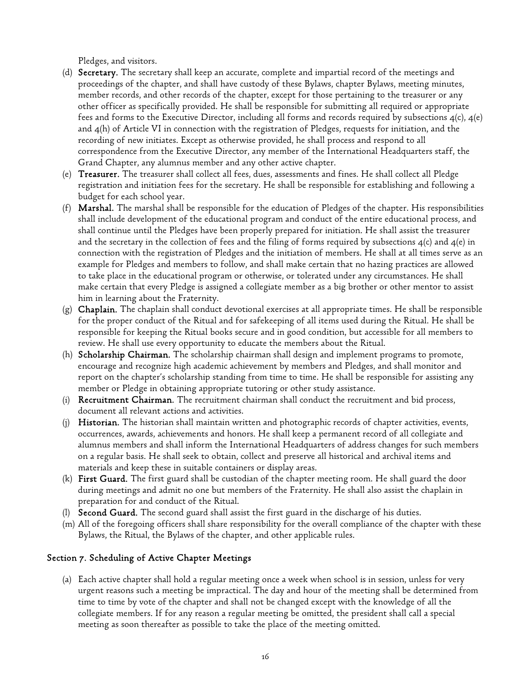Pledges, and visitors.

- (d) Secretary. The secretary shall keep an accurate, complete and impartial record of the meetings and proceedings of the chapter, and shall have custody of these Bylaws, chapter Bylaws, meeting minutes, member records, and other records of the chapter, except for those pertaining to the treasurer or any other officer as specifically provided. He shall be responsible for submitting all required or appropriate fees and forms to the Executive Director, including all forms and records required by subsections  $4(c)$ ,  $4(e)$ and 4(h) of Article VI in connection with the registration of Pledges, requests for initiation, and the recording of new initiates. Except as otherwise provided, he shall process and respond to all correspondence from the Executive Director, any member of the International Headquarters staff, the Grand Chapter, any alumnus member and any other active chapter.
- (e) Treasurer. The treasurer shall collect all fees, dues, assessments and fines. He shall collect all Pledge registration and initiation fees for the secretary. He shall be responsible for establishing and following a budget for each school year.
- (f) Marshal. The marshal shall be responsible for the education of Pledges of the chapter. His responsibilities shall include development of the educational program and conduct of the entire educational process, and shall continue until the Pledges have been properly prepared for initiation. He shall assist the treasurer and the secretary in the collection of fees and the filing of forms required by subsections  $4(c)$  and  $4(e)$  in connection with the registration of Pledges and the initiation of members. He shall at all times serve as an example for Pledges and members to follow, and shall make certain that no hazing practices are allowed to take place in the educational program or otherwise, or tolerated under any circumstances. He shall make certain that every Pledge is assigned a collegiate member as a big brother or other mentor to assist him in learning about the Fraternity.
- (g) Chaplain. The chaplain shall conduct devotional exercises at all appropriate times. He shall be responsible for the proper conduct of the Ritual and for safekeeping of all items used during the Ritual. He shall be responsible for keeping the Ritual books secure and in good condition, but accessible for all members to review. He shall use every opportunity to educate the members about the Ritual.
- (h) Scholarship Chairman. The scholarship chairman shall design and implement programs to promote, encourage and recognize high academic achievement by members and Pledges, and shall monitor and report on the chapter's scholarship standing from time to time. He shall be responsible for assisting any member or Pledge in obtaining appropriate tutoring or other study assistance.
- (i) Recruitment Chairman. The recruitment chairman shall conduct the recruitment and bid process, document all relevant actions and activities.
- (j) Historian. The historian shall maintain written and photographic records of chapter activities, events, occurrences, awards, achievements and honors. He shall keep a permanent record of all collegiate and alumnus members and shall inform the International Headquarters of address changes for such members on a regular basis. He shall seek to obtain, collect and preserve all historical and archival items and materials and keep these in suitable containers or display areas.
- (k) First Guard. The first guard shall be custodian of the chapter meeting room. He shall guard the door during meetings and admit no one but members of the Fraternity. He shall also assist the chaplain in preparation for and conduct of the Ritual.
- (l) Second Guard. The second guard shall assist the first guard in the discharge of his duties.
- (m) All of the foregoing officers shall share responsibility for the overall compliance of the chapter with these Bylaws, the Ritual, the Bylaws of the chapter, and other applicable rules.

## Section 7. Scheduling of Active Chapter Meetings

(a) Each active chapter shall hold a regular meeting once a week when school is in session, unless for very urgent reasons such a meeting be impractical. The day and hour of the meeting shall be determined from time to time by vote of the chapter and shall not be changed except with the knowledge of all the collegiate members. If for any reason a regular meeting be omitted, the president shall call a special meeting as soon thereafter as possible to take the place of the meeting omitted.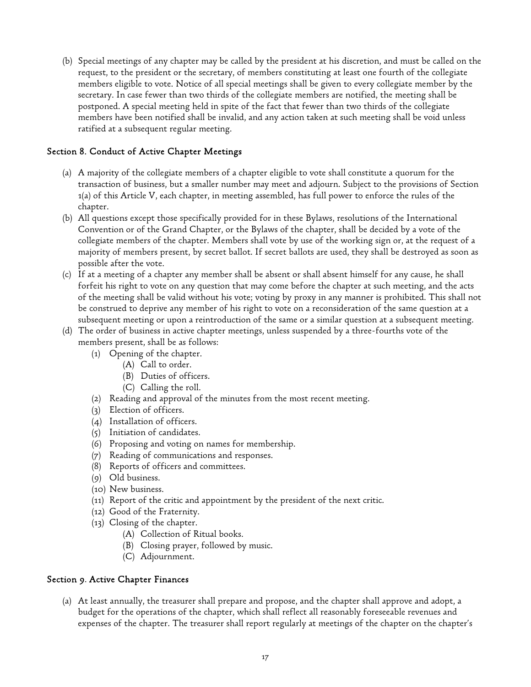(b) Special meetings of any chapter may be called by the president at his discretion, and must be called on the request, to the president or the secretary, of members constituting at least one fourth of the collegiate members eligible to vote. Notice of all special meetings shall be given to every collegiate member by the secretary. In case fewer than two thirds of the collegiate members are notified, the meeting shall be postponed. A special meeting held in spite of the fact that fewer than two thirds of the collegiate members have been notified shall be invalid, and any action taken at such meeting shall be void unless ratified at a subsequent regular meeting.

## Section 8. Conduct of Active Chapter Meetings

- (a) A majority of the collegiate members of a chapter eligible to vote shall constitute a quorum for the transaction of business, but a smaller number may meet and adjourn. Subject to the provisions of Section 1(a) of this Article V, each chapter, in meeting assembled, has full power to enforce the rules of the chapter.
- (b) All questions except those specifically provided for in these Bylaws, resolutions of the International Convention or of the Grand Chapter, or the Bylaws of the chapter, shall be decided by a vote of the collegiate members of the chapter. Members shall vote by use of the working sign or, at the request of a majority of members present, by secret ballot. If secret ballots are used, they shall be destroyed as soon as possible after the vote.
- (c) If at a meeting of a chapter any member shall be absent or shall absent himself for any cause, he shall forfeit his right to vote on any question that may come before the chapter at such meeting, and the acts of the meeting shall be valid without his vote; voting by proxy in any manner is prohibited. This shall not be construed to deprive any member of his right to vote on a reconsideration of the same question at a subsequent meeting or upon a reintroduction of the same or a similar question at a subsequent meeting.
- (d) The order of business in active chapter meetings, unless suspended by a three-fourths vote of the members present, shall be as follows:
	- (1) Opening of the chapter.
		- (A) Call to order.
		- (B) Duties of officers.
		- (C) Calling the roll.
	- (2) Reading and approval of the minutes from the most recent meeting.
	- (3) Election of officers.
	- (4) Installation of officers.
	- (5) Initiation of candidates.
	- (6) Proposing and voting on names for membership.
	- (7) Reading of communications and responses.
	- (8) Reports of officers and committees.
	- (9) Old business.
	- (10) New business.
	- (11) Report of the critic and appointment by the president of the next critic.
	- (12) Good of the Fraternity.
	- (13) Closing of the chapter.
		- (A) Collection of Ritual books.
		- (B) Closing prayer, followed by music.
		- (C) Adjournment.

## Section 9. Active Chapter Finances

(a) At least annually, the treasurer shall prepare and propose, and the chapter shall approve and adopt, a budget for the operations of the chapter, which shall reflect all reasonably foreseeable revenues and expenses of the chapter. The treasurer shall report regularly at meetings of the chapter on the chapter's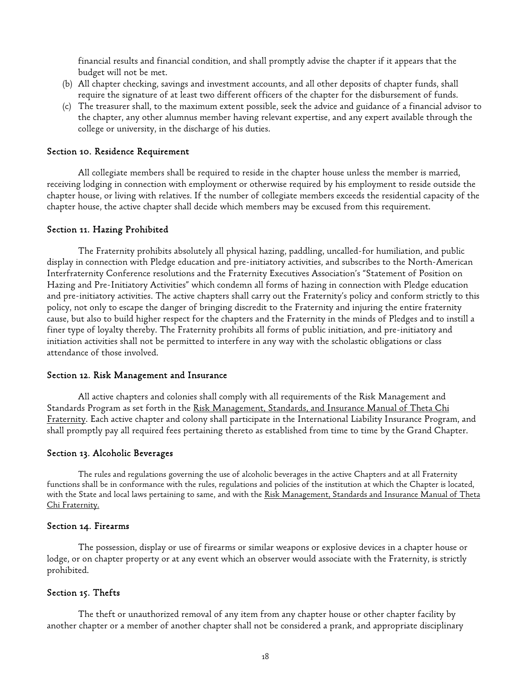financial results and financial condition, and shall promptly advise the chapter if it appears that the budget will not be met.

- (b) All chapter checking, savings and investment accounts, and all other deposits of chapter funds, shall require the signature of at least two different officers of the chapter for the disbursement of funds.
- (c) The treasurer shall, to the maximum extent possible, seek the advice and guidance of a financial advisor to the chapter, any other alumnus member having relevant expertise, and any expert available through the college or university, in the discharge of his duties.

#### Section 10. Residence Requirement

 All collegiate members shall be required to reside in the chapter house unless the member is married, receiving lodging in connection with employment or otherwise required by his employment to reside outside the chapter house, or living with relatives. If the number of collegiate members exceeds the residential capacity of the chapter house, the active chapter shall decide which members may be excused from this requirement.

#### Section 11. Hazing Prohibited

 The Fraternity prohibits absolutely all physical hazing, paddling, uncalled-for humiliation, and public display in connection with Pledge education and pre-initiatory activities, and subscribes to the North-American Interfraternity Conference resolutions and the Fraternity Executives Association's "Statement of Position on Hazing and Pre-Initiatory Activities" which condemn all forms of hazing in connection with Pledge education and pre-initiatory activities. The active chapters shall carry out the Fraternity's policy and conform strictly to this policy, not only to escape the danger of bringing discredit to the Fraternity and injuring the entire fraternity cause, but also to build higher respect for the chapters and the Fraternity in the minds of Pledges and to instill a finer type of loyalty thereby. The Fraternity prohibits all forms of public initiation, and pre-initiatory and initiation activities shall not be permitted to interfere in any way with the scholastic obligations or class attendance of those involved.

#### Section 12. Risk Management and Insurance

 All active chapters and colonies shall comply with all requirements of the Risk Management and Standards Program as set forth in the Risk Management, Standards, and Insurance Manual of Theta Chi Fraternity. Each active chapter and colony shall participate in the International Liability Insurance Program, and shall promptly pay all required fees pertaining thereto as established from time to time by the Grand Chapter.

#### Section 13. Alcoholic Beverages

The rules and regulations governing the use of alcoholic beverages in the active Chapters and at all Fraternity functions shall be in conformance with the rules, regulations and policies of the institution at which the Chapter is located, with the State and local laws pertaining to same, and with the Risk Management, Standards and Insurance Manual of Theta Chi Fraternity.

#### Section 14. Firearms

 The possession, display or use of firearms or similar weapons or explosive devices in a chapter house or lodge, or on chapter property or at any event which an observer would associate with the Fraternity, is strictly prohibited.

#### Section 15. Thefts

 The theft or unauthorized removal of any item from any chapter house or other chapter facility by another chapter or a member of another chapter shall not be considered a prank, and appropriate disciplinary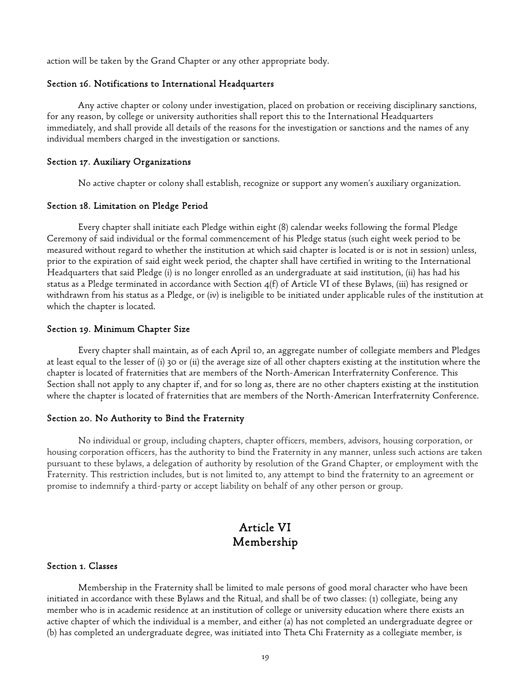action will be taken by the Grand Chapter or any other appropriate body.

### Section 16. Notifications to International Headquarters

 Any active chapter or colony under investigation, placed on probation or receiving disciplinary sanctions, for any reason, by college or university authorities shall report this to the International Headquarters immediately, and shall provide all details of the reasons for the investigation or sanctions and the names of any individual members charged in the investigation or sanctions.

#### Section 17. Auxiliary Organizations

No active chapter or colony shall establish, recognize or support any women's auxiliary organization.

#### Section 18. Limitation on Pledge Period

 Every chapter shall initiate each Pledge within eight (8) calendar weeks following the formal Pledge Ceremony of said individual or the formal commencement of his Pledge status (such eight week period to be measured without regard to whether the institution at which said chapter is located is or is not in session) unless, prior to the expiration of said eight week period, the chapter shall have certified in writing to the International Headquarters that said Pledge (i) is no longer enrolled as an undergraduate at said institution, (ii) has had his status as a Pledge terminated in accordance with Section 4(f) of Article VI of these Bylaws, (iii) has resigned or withdrawn from his status as a Pledge, or (iv) is ineligible to be initiated under applicable rules of the institution at which the chapter is located.

#### Section 19. Minimum Chapter Size

 Every chapter shall maintain, as of each April 10, an aggregate number of collegiate members and Pledges at least equal to the lesser of (i) 30 or (ii) the average size of all other chapters existing at the institution where the chapter is located of fraternities that are members of the North-American Interfraternity Conference. This Section shall not apply to any chapter if, and for so long as, there are no other chapters existing at the institution where the chapter is located of fraternities that are members of the North-American Interfraternity Conference.

#### Section 20. No Authority to Bind the Fraternity

No individual or group, including chapters, chapter officers, members, advisors, housing corporation, or housing corporation officers, has the authority to bind the Fraternity in any manner, unless such actions are taken pursuant to these bylaws, a delegation of authority by resolution of the Grand Chapter, or employment with the Fraternity. This restriction includes, but is not limited to, any attempt to bind the fraternity to an agreement or promise to indemnify a third-party or accept liability on behalf of any other person or group.

# Article VI Membership

#### Section 1. Classes

 Membership in the Fraternity shall be limited to male persons of good moral character who have been initiated in accordance with these Bylaws and the Ritual, and shall be of two classes: (1) collegiate, being any member who is in academic residence at an institution of college or university education where there exists an active chapter of which the individual is a member, and either (a) has not completed an undergraduate degree or (b) has completed an undergraduate degree, was initiated into Theta Chi Fraternity as a collegiate member, is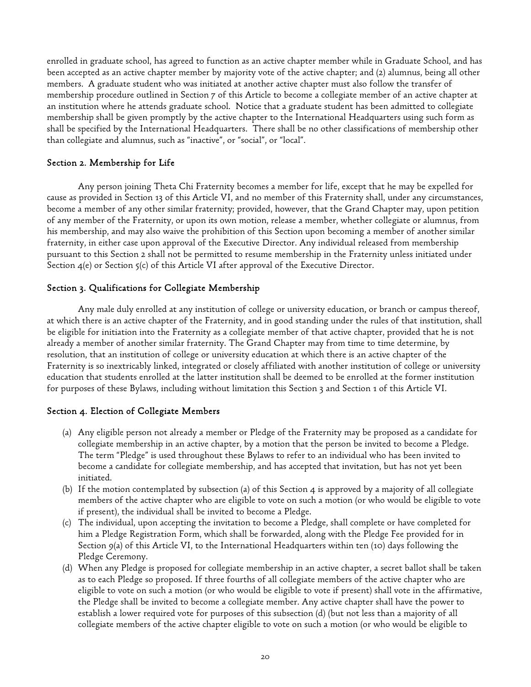enrolled in graduate school, has agreed to function as an active chapter member while in Graduate School, and has been accepted as an active chapter member by majority vote of the active chapter; and (2) alumnus, being all other members. A graduate student who was initiated at another active chapter must also follow the transfer of membership procedure outlined in Section 7 of this Article to become a collegiate member of an active chapter at an institution where he attends graduate school. Notice that a graduate student has been admitted to collegiate membership shall be given promptly by the active chapter to the International Headquarters using such form as shall be specified by the International Headquarters. There shall be no other classifications of membership other than collegiate and alumnus, such as "inactive", or "social", or "local".

## Section 2. Membership for Life

Any person joining Theta Chi Fraternity becomes a member for life, except that he may be expelled for cause as provided in Section 13 of this Article VI, and no member of this Fraternity shall, under any circumstances, become a member of any other similar fraternity; provided, however, that the Grand Chapter may, upon petition of any member of the Fraternity, or upon its own motion, release a member, whether collegiate or alumnus, from his membership, and may also waive the prohibition of this Section upon becoming a member of another similar fraternity, in either case upon approval of the Executive Director. Any individual released from membership pursuant to this Section 2 shall not be permitted to resume membership in the Fraternity unless initiated under Section  $\mathcal{A}(e)$  or Section  $\zeta(c)$  of this Article VI after approval of the Executive Director.

## Section 3. Qualifications for Collegiate Membership

 Any male duly enrolled at any institution of college or university education, or branch or campus thereof, at which there is an active chapter of the Fraternity, and in good standing under the rules of that institution, shall be eligible for initiation into the Fraternity as a collegiate member of that active chapter, provided that he is not already a member of another similar fraternity. The Grand Chapter may from time to time determine, by resolution, that an institution of college or university education at which there is an active chapter of the Fraternity is so inextricably linked, integrated or closely affiliated with another institution of college or university education that students enrolled at the latter institution shall be deemed to be enrolled at the former institution for purposes of these Bylaws, including without limitation this Section 3 and Section 1 of this Article VI.

## Section 4. Election of Collegiate Members

- (a) Any eligible person not already a member or Pledge of the Fraternity may be proposed as a candidate for collegiate membership in an active chapter, by a motion that the person be invited to become a Pledge. The term "Pledge" is used throughout these Bylaws to refer to an individual who has been invited to become a candidate for collegiate membership, and has accepted that invitation, but has not yet been initiated.
- (b) If the motion contemplated by subsection (a) of this Section 4 is approved by a majority of all collegiate members of the active chapter who are eligible to vote on such a motion (or who would be eligible to vote if present), the individual shall be invited to become a Pledge.
- (c) The individual, upon accepting the invitation to become a Pledge, shall complete or have completed for him a Pledge Registration Form, which shall be forwarded, along with the Pledge Fee provided for in Section 9(a) of this Article VI, to the International Headquarters within ten (10) days following the Pledge Ceremony.
- (d) When any Pledge is proposed for collegiate membership in an active chapter, a secret ballot shall be taken as to each Pledge so proposed. If three fourths of all collegiate members of the active chapter who are eligible to vote on such a motion (or who would be eligible to vote if present) shall vote in the affirmative, the Pledge shall be invited to become a collegiate member. Any active chapter shall have the power to establish a lower required vote for purposes of this subsection (d) (but not less than a majority of all collegiate members of the active chapter eligible to vote on such a motion (or who would be eligible to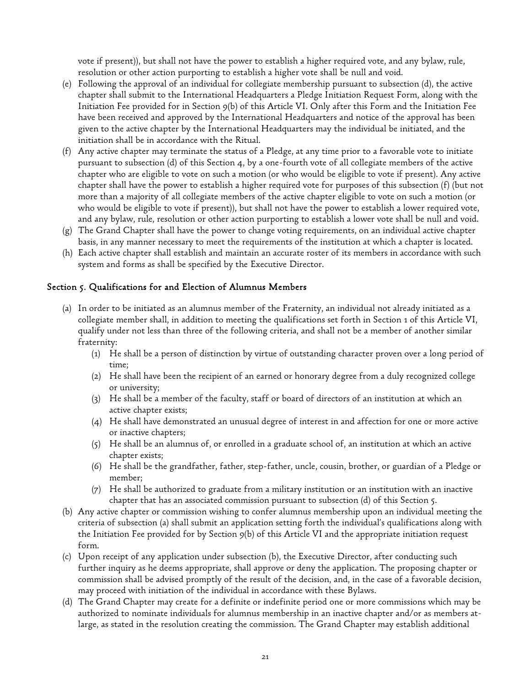vote if present)), but shall not have the power to establish a higher required vote, and any bylaw, rule, resolution or other action purporting to establish a higher vote shall be null and void.

- (e) Following the approval of an individual for collegiate membership pursuant to subsection (d), the active chapter shall submit to the International Headquarters a Pledge Initiation Request Form, along with the Initiation Fee provided for in Section 9(b) of this Article VI. Only after this Form and the Initiation Fee have been received and approved by the International Headquarters and notice of the approval has been given to the active chapter by the International Headquarters may the individual be initiated, and the initiation shall be in accordance with the Ritual.
- (f) Any active chapter may terminate the status of a Pledge, at any time prior to a favorable vote to initiate pursuant to subsection (d) of this Section 4, by a one-fourth vote of all collegiate members of the active chapter who are eligible to vote on such a motion (or who would be eligible to vote if present). Any active chapter shall have the power to establish a higher required vote for purposes of this subsection (f) (but not more than a majority of all collegiate members of the active chapter eligible to vote on such a motion (or who would be eligible to vote if present)), but shall not have the power to establish a lower required vote, and any bylaw, rule, resolution or other action purporting to establish a lower vote shall be null and void.
- (g) The Grand Chapter shall have the power to change voting requirements, on an individual active chapter basis, in any manner necessary to meet the requirements of the institution at which a chapter is located.
- (h) Each active chapter shall establish and maintain an accurate roster of its members in accordance with such system and forms as shall be specified by the Executive Director.

## Section 5. Qualifications for and Election of Alumnus Members

- (a) In order to be initiated as an alumnus member of the Fraternity, an individual not already initiated as a collegiate member shall, in addition to meeting the qualifications set forth in Section 1 of this Article VI, qualify under not less than three of the following criteria, and shall not be a member of another similar fraternity:
	- (1) He shall be a person of distinction by virtue of outstanding character proven over a long period of time;
	- (2) He shall have been the recipient of an earned or honorary degree from a duly recognized college or university;
	- (3) He shall be a member of the faculty, staff or board of directors of an institution at which an active chapter exists;
	- (4) He shall have demonstrated an unusual degree of interest in and affection for one or more active or inactive chapters;
	- (5) He shall be an alumnus of, or enrolled in a graduate school of, an institution at which an active chapter exists;
	- (6) He shall be the grandfather, father, step-father, uncle, cousin, brother, or guardian of a Pledge or member;
	- (7) He shall be authorized to graduate from a military institution or an institution with an inactive chapter that has an associated commission pursuant to subsection (d) of this Section 5.
- (b) Any active chapter or commission wishing to confer alumnus membership upon an individual meeting the criteria of subsection (a) shall submit an application setting forth the individual's qualifications along with the Initiation Fee provided for by Section 9(b) of this Article VI and the appropriate initiation request form.
- (c) Upon receipt of any application under subsection (b), the Executive Director, after conducting such further inquiry as he deems appropriate, shall approve or deny the application. The proposing chapter or commission shall be advised promptly of the result of the decision, and, in the case of a favorable decision, may proceed with initiation of the individual in accordance with these Bylaws.
- (d) The Grand Chapter may create for a definite or indefinite period one or more commissions which may be authorized to nominate individuals for alumnus membership in an inactive chapter and/or as members atlarge, as stated in the resolution creating the commission. The Grand Chapter may establish additional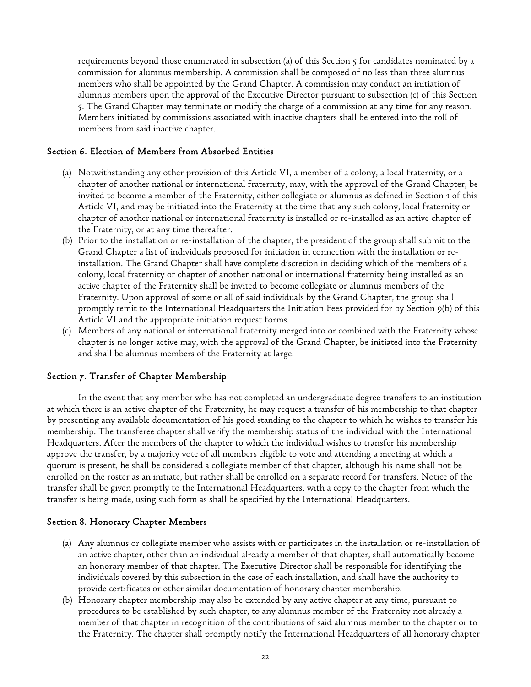requirements beyond those enumerated in subsection (a) of this Section 5 for candidates nominated by a commission for alumnus membership. A commission shall be composed of no less than three alumnus members who shall be appointed by the Grand Chapter. A commission may conduct an initiation of alumnus members upon the approval of the Executive Director pursuant to subsection (c) of this Section 5. The Grand Chapter may terminate or modify the charge of a commission at any time for any reason. Members initiated by commissions associated with inactive chapters shall be entered into the roll of members from said inactive chapter.

## Section 6. Election of Members from Absorbed Entities

- (a) Notwithstanding any other provision of this Article VI, a member of a colony, a local fraternity, or a chapter of another national or international fraternity, may, with the approval of the Grand Chapter, be invited to become a member of the Fraternity, either collegiate or alumnus as defined in Section 1 of this Article VI, and may be initiated into the Fraternity at the time that any such colony, local fraternity or chapter of another national or international fraternity is installed or re-installed as an active chapter of the Fraternity, or at any time thereafter.
- (b) Prior to the installation or re-installation of the chapter, the president of the group shall submit to the Grand Chapter a list of individuals proposed for initiation in connection with the installation or reinstallation. The Grand Chapter shall have complete discretion in deciding which of the members of a colony, local fraternity or chapter of another national or international fraternity being installed as an active chapter of the Fraternity shall be invited to become collegiate or alumnus members of the Fraternity. Upon approval of some or all of said individuals by the Grand Chapter, the group shall promptly remit to the International Headquarters the Initiation Fees provided for by Section 9(b) of this Article VI and the appropriate initiation request forms.
- (c) Members of any national or international fraternity merged into or combined with the Fraternity whose chapter is no longer active may, with the approval of the Grand Chapter, be initiated into the Fraternity and shall be alumnus members of the Fraternity at large.

#### Section 7. Transfer of Chapter Membership

 In the event that any member who has not completed an undergraduate degree transfers to an institution at which there is an active chapter of the Fraternity, he may request a transfer of his membership to that chapter by presenting any available documentation of his good standing to the chapter to which he wishes to transfer his membership. The transferee chapter shall verify the membership status of the individual with the International Headquarters. After the members of the chapter to which the individual wishes to transfer his membership approve the transfer, by a majority vote of all members eligible to vote and attending a meeting at which a quorum is present, he shall be considered a collegiate member of that chapter, although his name shall not be enrolled on the roster as an initiate, but rather shall be enrolled on a separate record for transfers. Notice of the transfer shall be given promptly to the International Headquarters, with a copy to the chapter from which the transfer is being made, using such form as shall be specified by the International Headquarters.

#### Section 8. Honorary Chapter Members

- (a) Any alumnus or collegiate member who assists with or participates in the installation or re-installation of an active chapter, other than an individual already a member of that chapter, shall automatically become an honorary member of that chapter. The Executive Director shall be responsible for identifying the individuals covered by this subsection in the case of each installation, and shall have the authority to provide certificates or other similar documentation of honorary chapter membership.
- (b) Honorary chapter membership may also be extended by any active chapter at any time, pursuant to procedures to be established by such chapter, to any alumnus member of the Fraternity not already a member of that chapter in recognition of the contributions of said alumnus member to the chapter or to the Fraternity. The chapter shall promptly notify the International Headquarters of all honorary chapter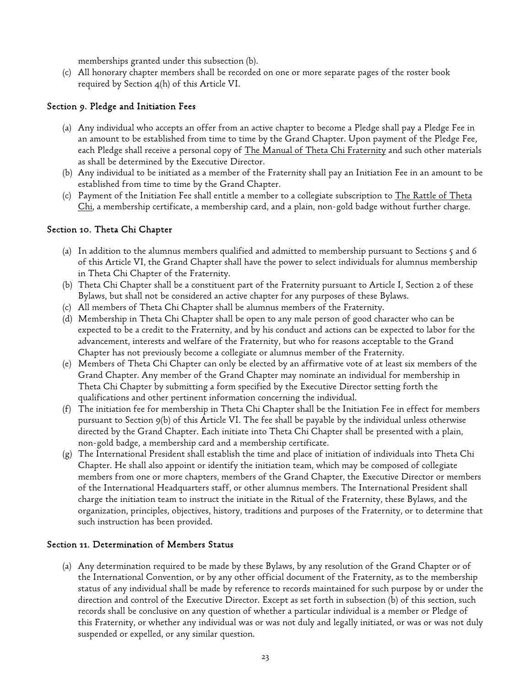memberships granted under this subsection (b).

(c) All honorary chapter members shall be recorded on one or more separate pages of the roster book required by Section 4(h) of this Article VI.

## Section 9. Pledge and Initiation Fees

- (a) Any individual who accepts an offer from an active chapter to become a Pledge shall pay a Pledge Fee in an amount to be established from time to time by the Grand Chapter. Upon payment of the Pledge Fee, each Pledge shall receive a personal copy of <u>The Manual of Theta Chi Fraternity</u> and such other materials as shall be determined by the Executive Director.
- (b) Any individual to be initiated as a member of the Fraternity shall pay an Initiation Fee in an amount to be established from time to time by the Grand Chapter.
- (c) Payment of the Initiation Fee shall entitle a member to a collegiate subscription to The Rattle of Theta Chi, a membership certificate, a membership card, and a plain, non-gold badge without further charge.

## Section 10. Theta Chi Chapter

- (a) In addition to the alumnus members qualified and admitted to membership pursuant to Sections 5 and 6 of this Article VI, the Grand Chapter shall have the power to select individuals for alumnus membership in Theta Chi Chapter of the Fraternity.
- (b) Theta Chi Chapter shall be a constituent part of the Fraternity pursuant to Article I, Section 2 of these Bylaws, but shall not be considered an active chapter for any purposes of these Bylaws.
- (c) All members of Theta Chi Chapter shall be alumnus members of the Fraternity.
- (d) Membership in Theta Chi Chapter shall be open to any male person of good character who can be expected to be a credit to the Fraternity, and by his conduct and actions can be expected to labor for the advancement, interests and welfare of the Fraternity, but who for reasons acceptable to the Grand Chapter has not previously become a collegiate or alumnus member of the Fraternity.
- (e) Members of Theta Chi Chapter can only be elected by an affirmative vote of at least six members of the Grand Chapter. Any member of the Grand Chapter may nominate an individual for membership in Theta Chi Chapter by submitting a form specified by the Executive Director setting forth the qualifications and other pertinent information concerning the individual.
- (f) The initiation fee for membership in Theta Chi Chapter shall be the Initiation Fee in effect for members pursuant to Section 9(b) of this Article VI. The fee shall be payable by the individual unless otherwise directed by the Grand Chapter. Each initiate into Theta Chi Chapter shall be presented with a plain, non-gold badge, a membership card and a membership certificate.
- (g) The International President shall establish the time and place of initiation of individuals into Theta Chi Chapter. He shall also appoint or identify the initiation team, which may be composed of collegiate members from one or more chapters, members of the Grand Chapter, the Executive Director or members of the International Headquarters staff, or other alumnus members. The International President shall charge the initiation team to instruct the initiate in the Ritual of the Fraternity, these Bylaws, and the organization, principles, objectives, history, traditions and purposes of the Fraternity, or to determine that such instruction has been provided.

## Section 11. Determination of Members Status

(a) Any determination required to be made by these Bylaws, by any resolution of the Grand Chapter or of the International Convention, or by any other official document of the Fraternity, as to the membership status of any individual shall be made by reference to records maintained for such purpose by or under the direction and control of the Executive Director. Except as set forth in subsection (b) of this section, such records shall be conclusive on any question of whether a particular individual is a member or Pledge of this Fraternity, or whether any individual was or was not duly and legally initiated, or was or was not duly suspended or expelled, or any similar question.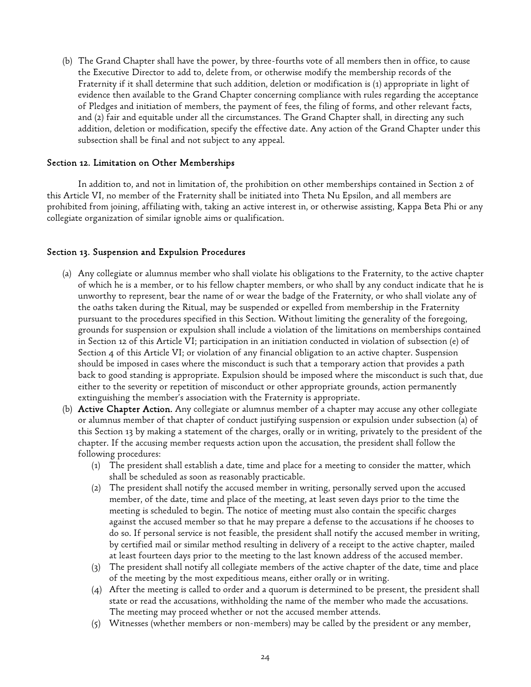(b) The Grand Chapter shall have the power, by three-fourths vote of all members then in office, to cause the Executive Director to add to, delete from, or otherwise modify the membership records of the Fraternity if it shall determine that such addition, deletion or modification is (1) appropriate in light of evidence then available to the Grand Chapter concerning compliance with rules regarding the acceptance of Pledges and initiation of members, the payment of fees, the filing of forms, and other relevant facts, and (2) fair and equitable under all the circumstances. The Grand Chapter shall, in directing any such addition, deletion or modification, specify the effective date. Any action of the Grand Chapter under this subsection shall be final and not subject to any appeal.

## Section 12. Limitation on Other Memberships

 In addition to, and not in limitation of, the prohibition on other memberships contained in Section 2 of this Article VI, no member of the Fraternity shall be initiated into Theta Nu Epsilon, and all members are prohibited from joining, affiliating with, taking an active interest in, or otherwise assisting, Kappa Beta Phi or any collegiate organization of similar ignoble aims or qualification.

### Section 13. Suspension and Expulsion Procedures

- (a) Any collegiate or alumnus member who shall violate his obligations to the Fraternity, to the active chapter of which he is a member, or to his fellow chapter members, or who shall by any conduct indicate that he is unworthy to represent, bear the name of or wear the badge of the Fraternity, or who shall violate any of the oaths taken during the Ritual, may be suspended or expelled from membership in the Fraternity pursuant to the procedures specified in this Section. Without limiting the generality of the foregoing, grounds for suspension or expulsion shall include a violation of the limitations on memberships contained in Section 12 of this Article VI; participation in an initiation conducted in violation of subsection (e) of Section 4 of this Article VI; or violation of any financial obligation to an active chapter. Suspension should be imposed in cases where the misconduct is such that a temporary action that provides a path back to good standing is appropriate. Expulsion should be imposed where the misconduct is such that, due either to the severity or repetition of misconduct or other appropriate grounds, action permanently extinguishing the member's association with the Fraternity is appropriate.
- (b) Active Chapter Action. Any collegiate or alumnus member of a chapter may accuse any other collegiate or alumnus member of that chapter of conduct justifying suspension or expulsion under subsection (a) of this Section 13 by making a statement of the charges, orally or in writing, privately to the president of the chapter. If the accusing member requests action upon the accusation, the president shall follow the following procedures:
	- (1) The president shall establish a date, time and place for a meeting to consider the matter, which shall be scheduled as soon as reasonably practicable.
	- (2) The president shall notify the accused member in writing, personally served upon the accused member, of the date, time and place of the meeting, at least seven days prior to the time the meeting is scheduled to begin. The notice of meeting must also contain the specific charges against the accused member so that he may prepare a defense to the accusations if he chooses to do so. If personal service is not feasible, the president shall notify the accused member in writing, by certified mail or similar method resulting in delivery of a receipt to the active chapter, mailed at least fourteen days prior to the meeting to the last known address of the accused member.
	- (3) The president shall notify all collegiate members of the active chapter of the date, time and place of the meeting by the most expeditious means, either orally or in writing.
	- (4) After the meeting is called to order and a quorum is determined to be present, the president shall state or read the accusations, withholding the name of the member who made the accusations. The meeting may proceed whether or not the accused member attends.
	- (5) Witnesses (whether members or non-members) may be called by the president or any member,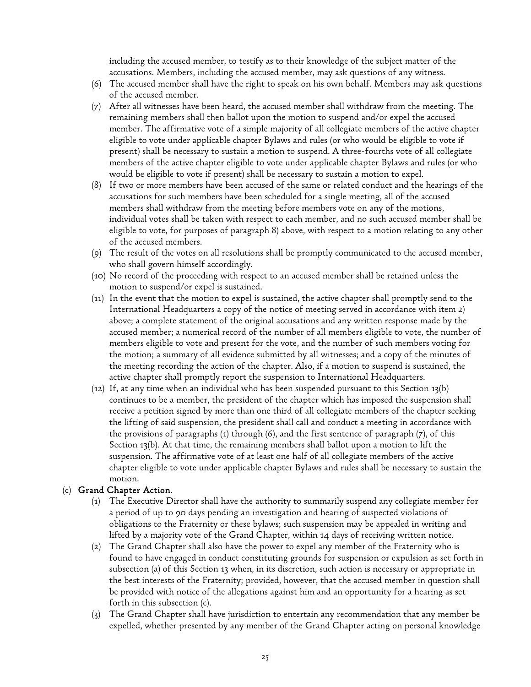including the accused member, to testify as to their knowledge of the subject matter of the accusations. Members, including the accused member, may ask questions of any witness.

- (6) The accused member shall have the right to speak on his own behalf. Members may ask questions of the accused member.
- (7) After all witnesses have been heard, the accused member shall withdraw from the meeting. The remaining members shall then ballot upon the motion to suspend and/or expel the accused member. The affirmative vote of a simple majority of all collegiate members of the active chapter eligible to vote under applicable chapter Bylaws and rules (or who would be eligible to vote if present) shall be necessary to sustain a motion to suspend. A three-fourths vote of all collegiate members of the active chapter eligible to vote under applicable chapter Bylaws and rules (or who would be eligible to vote if present) shall be necessary to sustain a motion to expel.
- (8) If two or more members have been accused of the same or related conduct and the hearings of the accusations for such members have been scheduled for a single meeting, all of the accused members shall withdraw from the meeting before members vote on any of the motions, individual votes shall be taken with respect to each member, and no such accused member shall be eligible to vote, for purposes of paragraph 8) above, with respect to a motion relating to any other of the accused members.
- (9) The result of the votes on all resolutions shall be promptly communicated to the accused member, who shall govern himself accordingly.
- (10) No record of the proceeding with respect to an accused member shall be retained unless the motion to suspend/or expel is sustained.
- (11) In the event that the motion to expel is sustained, the active chapter shall promptly send to the International Headquarters a copy of the notice of meeting served in accordance with item 2) above; a complete statement of the original accusations and any written response made by the accused member; a numerical record of the number of all members eligible to vote, the number of members eligible to vote and present for the vote, and the number of such members voting for the motion; a summary of all evidence submitted by all witnesses; and a copy of the minutes of the meeting recording the action of the chapter. Also, if a motion to suspend is sustained, the active chapter shall promptly report the suspension to International Headquarters.
- (12) If, at any time when an individual who has been suspended pursuant to this Section 13(b) continues to be a member, the president of the chapter which has imposed the suspension shall receive a petition signed by more than one third of all collegiate members of the chapter seeking the lifting of said suspension, the president shall call and conduct a meeting in accordance with the provisions of paragraphs (1) through (6), and the first sentence of paragraph (7), of this Section 13(b). At that time, the remaining members shall ballot upon a motion to lift the suspension. The affirmative vote of at least one half of all collegiate members of the active chapter eligible to vote under applicable chapter Bylaws and rules shall be necessary to sustain the motion.

## (c) Grand Chapter Action.

- (1) The Executive Director shall have the authority to summarily suspend any collegiate member for a period of up to 90 days pending an investigation and hearing of suspected violations of obligations to the Fraternity or these bylaws; such suspension may be appealed in writing and lifted by a majority vote of the Grand Chapter, within 14 days of receiving written notice.
- (2) The Grand Chapter shall also have the power to expel any member of the Fraternity who is found to have engaged in conduct constituting grounds for suspension or expulsion as set forth in subsection (a) of this Section 13 when, in its discretion, such action is necessary or appropriate in the best interests of the Fraternity; provided, however, that the accused member in question shall be provided with notice of the allegations against him and an opportunity for a hearing as set forth in this subsection (c).
- (3) The Grand Chapter shall have jurisdiction to entertain any recommendation that any member be expelled, whether presented by any member of the Grand Chapter acting on personal knowledge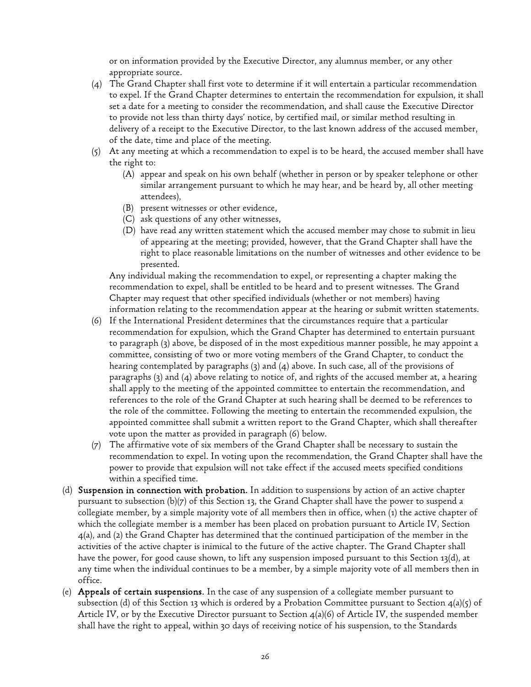or on information provided by the Executive Director, any alumnus member, or any other appropriate source.

- (4) The Grand Chapter shall first vote to determine if it will entertain a particular recommendation to expel. If the Grand Chapter determines to entertain the recommendation for expulsion, it shall set a date for a meeting to consider the recommendation, and shall cause the Executive Director to provide not less than thirty days' notice, by certified mail, or similar method resulting in delivery of a receipt to the Executive Director, to the last known address of the accused member, of the date, time and place of the meeting.
- (5) At any meeting at which a recommendation to expel is to be heard, the accused member shall have the right to:
	- (A) appear and speak on his own behalf (whether in person or by speaker telephone or other similar arrangement pursuant to which he may hear, and be heard by, all other meeting attendees),
	- (B) present witnesses or other evidence,
	- (C) ask questions of any other witnesses,
	- (D) have read any written statement which the accused member may chose to submit in lieu of appearing at the meeting; provided, however, that the Grand Chapter shall have the right to place reasonable limitations on the number of witnesses and other evidence to be presented.

Any individual making the recommendation to expel, or representing a chapter making the recommendation to expel, shall be entitled to be heard and to present witnesses. The Grand Chapter may request that other specified individuals (whether or not members) having information relating to the recommendation appear at the hearing or submit written statements.

- (6) If the International President determines that the circumstances require that a particular recommendation for expulsion, which the Grand Chapter has determined to entertain pursuant to paragraph (3) above, be disposed of in the most expeditious manner possible, he may appoint a committee, consisting of two or more voting members of the Grand Chapter, to conduct the hearing contemplated by paragraphs (3) and (4) above. In such case, all of the provisions of paragraphs  $(3)$  and  $(4)$  above relating to notice of, and rights of the accused member at, a hearing shall apply to the meeting of the appointed committee to entertain the recommendation, and references to the role of the Grand Chapter at such hearing shall be deemed to be references to the role of the committee. Following the meeting to entertain the recommended expulsion, the appointed committee shall submit a written report to the Grand Chapter, which shall thereafter vote upon the matter as provided in paragraph (6) below.
- (7) The affirmative vote of six members of the Grand Chapter shall be necessary to sustain the recommendation to expel. In voting upon the recommendation, the Grand Chapter shall have the power to provide that expulsion will not take effect if the accused meets specified conditions within a specified time.
- (d) Suspension in connection with probation. In addition to suspensions by action of an active chapter pursuant to subsection (b)(7) of this Section 13, the Grand Chapter shall have the power to suspend a collegiate member, by a simple majority vote of all members then in office, when (1) the active chapter of which the collegiate member is a member has been placed on probation pursuant to Article IV, Section 4(a), and (2) the Grand Chapter has determined that the continued participation of the member in the activities of the active chapter is inimical to the future of the active chapter. The Grand Chapter shall have the power, for good cause shown, to lift any suspension imposed pursuant to this Section 13(d), at any time when the individual continues to be a member, by a simple majority vote of all members then in office.
- (e) Appeals of certain suspensions. In the case of any suspension of a collegiate member pursuant to subsection (d) of this Section 13 which is ordered by a Probation Committee pursuant to Section  $4(a)(5)$  of Article IV, or by the Executive Director pursuant to Section 4(a)(6) of Article IV, the suspended member shall have the right to appeal, within 30 days of receiving notice of his suspension, to the Standards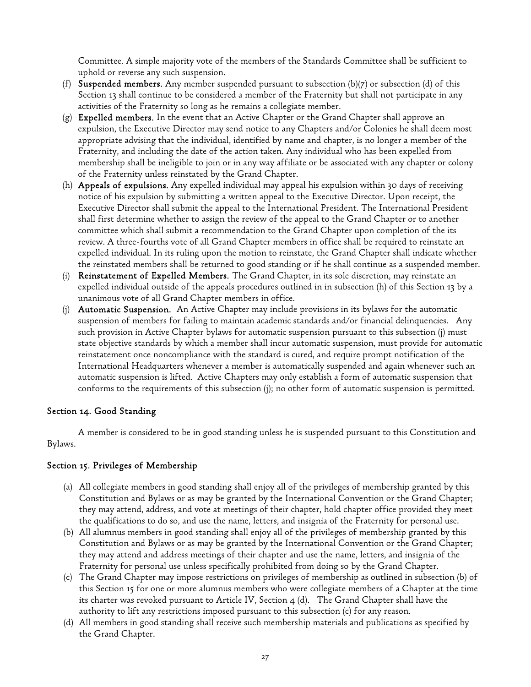Committee. A simple majority vote of the members of the Standards Committee shall be sufficient to uphold or reverse any such suspension.

- (f) Suspended members. Any member suspended pursuant to subsection (b)(7) or subsection (d) of this Section 13 shall continue to be considered a member of the Fraternity but shall not participate in any activities of the Fraternity so long as he remains a collegiate member.
- $(g)$  Expelled members. In the event that an Active Chapter or the Grand Chapter shall approve an expulsion, the Executive Director may send notice to any Chapters and/or Colonies he shall deem most appropriate advising that the individual, identified by name and chapter, is no longer a member of the Fraternity, and including the date of the action taken. Any individual who has been expelled from membership shall be ineligible to join or in any way affiliate or be associated with any chapter or colony of the Fraternity unless reinstated by the Grand Chapter.
- (h) Appeals of expulsions. Any expelled individual may appeal his expulsion within 30 days of receiving notice of his expulsion by submitting a written appeal to the Executive Director. Upon receipt, the Executive Director shall submit the appeal to the International President. The International President shall first determine whether to assign the review of the appeal to the Grand Chapter or to another committee which shall submit a recommendation to the Grand Chapter upon completion of the its review. A three-fourths vote of all Grand Chapter members in office shall be required to reinstate an expelled individual. In its ruling upon the motion to reinstate, the Grand Chapter shall indicate whether the reinstated members shall be returned to good standing or if he shall continue as a suspended member.
- (i) Reinstatement of Expelled Members. The Grand Chapter, in its sole discretion, may reinstate an expelled individual outside of the appeals procedures outlined in in subsection (h) of this Section 13 by a unanimous vote of all Grand Chapter members in office.
- (j) Automatic Suspension. An Active Chapter may include provisions in its bylaws for the automatic suspension of members for failing to maintain academic standards and/or financial delinquencies. Any such provision in Active Chapter bylaws for automatic suspension pursuant to this subsection (j) must state objective standards by which a member shall incur automatic suspension, must provide for automatic reinstatement once noncompliance with the standard is cured, and require prompt notification of the International Headquarters whenever a member is automatically suspended and again whenever such an automatic suspension is lifted. Active Chapters may only establish a form of automatic suspension that conforms to the requirements of this subsection (j); no other form of automatic suspension is permitted.

## Section 14. Good Standing

A member is considered to be in good standing unless he is suspended pursuant to this Constitution and Bylaws.

## Section 15. Privileges of Membership

- (a) All collegiate members in good standing shall enjoy all of the privileges of membership granted by this Constitution and Bylaws or as may be granted by the International Convention or the Grand Chapter; they may attend, address, and vote at meetings of their chapter, hold chapter office provided they meet the qualifications to do so, and use the name, letters, and insignia of the Fraternity for personal use.
- (b) All alumnus members in good standing shall enjoy all of the privileges of membership granted by this Constitution and Bylaws or as may be granted by the International Convention or the Grand Chapter; they may attend and address meetings of their chapter and use the name, letters, and insignia of the Fraternity for personal use unless specifically prohibited from doing so by the Grand Chapter.
- (c) The Grand Chapter may impose restrictions on privileges of membership as outlined in subsection (b) of this Section 15 for one or more alumnus members who were collegiate members of a Chapter at the time its charter was revoked pursuant to Article IV, Section  $4(d)$ . The Grand Chapter shall have the authority to lift any restrictions imposed pursuant to this subsection (c) for any reason.
- (d) All members in good standing shall receive such membership materials and publications as specified by the Grand Chapter.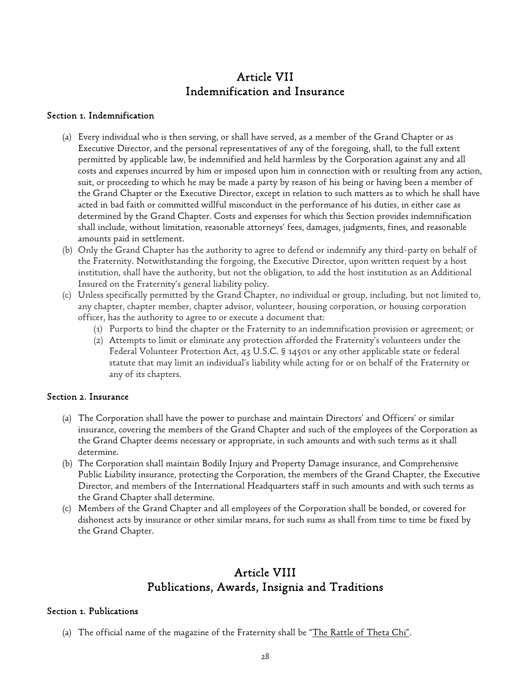# Article VII Indemnification and Insurance

## Section 1. Indemnification

- (a) Every individual who is then serving, or shall have served, as a member of the Grand Chapter or as Executive Director, and the personal representatives of any of the foregoing, shall, to the full extent permitted by applicable law, be indemnified and held harmless by the Corporation against any and all costs and expenses incurred by him or imposed upon him in connection with or resulting from any action, suit, or proceeding to which he may be made a party by reason of his being or having been a member of the Grand Chapter or the Executive Director, except in relation to such matters as to which he shall have acted in bad faith or committed willful misconduct in the performance of his duties, in either case as determined by the Grand Chapter. Costs and expenses for which this Section provides indemnification shall include, without limitation, reasonable attorneys' fees, damages, judgments, fines, and reasonable amounts paid in settlement.
- (b) Only the Grand Chapter has the authority to agree to defend or indemnify any third-party on behalf of the Fraternity. Notwithstanding the forgoing, the Executive Director, upon written request by a host institution, shall have the authority, but not the obligation, to add the host institution as an Additional Insured on the Fraternity's general liability policy.
- (c) Unless specifically permitted by the Grand Chapter, no individual or group, including, but not limited to, any chapter, chapter member, chapter advisor, volunteer, housing corporation, or housing corporation officer, has the authority to agree to or execute a document that:
	- (1) Purports to bind the chapter or the Fraternity to an indemnification provision or agreement; or
	- (2) Attempts to limit or eliminate any protection afforded the Fraternity's volunteers under the Federal Volunteer Protection Act, 43 U.S.C. § 14501 or any other applicable state or federal statute that may limit an individual's liability while acting for or on behalf of the Fraternity or any of its chapters.

## Section 2. Insurance

- (a) The Corporation shall have the power to purchase and maintain Directors' and Officers' or similar insurance, covering the members of the Grand Chapter and such of the employees of the Corporation as the Grand Chapter deems necessary or appropriate, in such amounts and with such terms as it shall determine.
- (b) The Corporation shall maintain Bodily Injury and Property Damage insurance, and Comprehensive Public Liability insurance, protecting the Corporation, the members of the Grand Chapter, the Executive Director, and members of the International Headquarters staff in such amounts and with such terms as the Grand Chapter shall determine.
- (c) Members of the Grand Chapter and all employees of the Corporation shall be bonded, or covered for dishonest acts by insurance or other similar means, for such sums as shall from time to time be fixed by the Grand Chapter.

## Article VIII Publications, Awards, Insignia and Traditions

## Section 1. Publications

(a) The official name of the magazine of the Fraternity shall be "The Rattle of Theta Chi".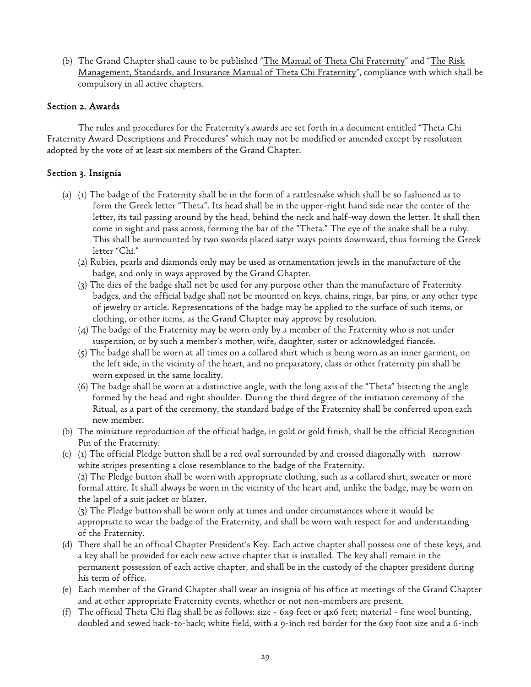(b) The Grand Chapter shall cause to be published "The Manual of Theta Chi Fraternity" and "The Risk Management, Standards, and Insurance Manual of Theta Chi Fraternity", compliance with which shall be compulsory in all active chapters.

## Section 2. Awards

The rules and procedures for the Fraternity's awards are set forth in a document entitled "Theta Chi Fraternity Award Descriptions and Procedures" which may not be modified or amended except by resolution adopted by the vote of at least six members of the Grand Chapter.

## Section 3. Insignia

- (a) (1) The badge of the Fraternity shall be in the form of a rattlesnake which shall be so fashioned as to form the Greek letter "Theta". Its head shall be in the upper-right hand side near the center of the letter, its tail passing around by the head, behind the neck and half-way down the letter. It shall then come in sight and pass across, forming the bar of the "Theta." The eye of the snake shall be a ruby. This shall be surmounted by two swords placed satyr ways points downward, thus forming the Greek letter "Chi."
	- (2) Rubies, pearls and diamonds only may be used as ornamentation jewels in the manufacture of the badge, and only in ways approved by the Grand Chapter.
	- (3) The dies of the badge shall not be used for any purpose other than the manufacture of Fraternity badges, and the official badge shall not be mounted on keys, chains, rings, bar pins, or any other type of jewelry or article. Representations of the badge may be applied to the surface of such items, or clothing, or other items, as the Grand Chapter may approve by resolution.
	- (4) The badge of the Fraternity may be worn only by a member of the Fraternity who is not under suspension, or by such a member's mother, wife, daughter, sister or acknowledged fiancée.
	- (5) The badge shall be worn at all times on a collared shirt which is being worn as an inner garment, on the left side, in the vicinity of the heart, and no preparatory, class or other fraternity pin shall be worn exposed in the same locality.
	- (6) The badge shall be worn at a distinctive angle, with the long axis of the "Theta" bisecting the angle formed by the head and right shoulder. During the third degree of the initiation ceremony of the Ritual, as a part of the ceremony, the standard badge of the Fraternity shall be conferred upon each new member.
- (b) The miniature reproduction of the official badge, in gold or gold finish, shall be the official Recognition Pin of the Fraternity.
- (c) (1) The official Pledge button shall be a red oval surrounded by and crossed diagonally with narrow white stripes presenting a close resemblance to the badge of the Fraternity.

(2) The Pledge button shall be worn with appropriate clothing, such as a collared shirt, sweater or more formal attire. It shall always be worn in the vicinity of the heart and, unlike the badge, may be worn on the lapel of a suit jacket or blazer.

(3) The Pledge button shall be worn only at times and under circumstances where it would be appropriate to wear the badge of the Fraternity, and shall be worn with respect for and understanding of the Fraternity.

- (d) There shall be an official Chapter President's Key. Each active chapter shall possess one of these keys, and a key shall be provided for each new active chapter that is installed. The key shall remain in the permanent possession of each active chapter, and shall be in the custody of the chapter president during his term of office.
- (e) Each member of the Grand Chapter shall wear an insignia of his office at meetings of the Grand Chapter and at other appropriate Fraternity events, whether or not non-members are present.
- (f) The official Theta Chi flag shall be as follows: size 6x9 feet or 4x6 feet; material fine wool bunting, doubled and sewed back-to-back; white field, with a 9-inch red border for the 6x9 foot size and a 6-inch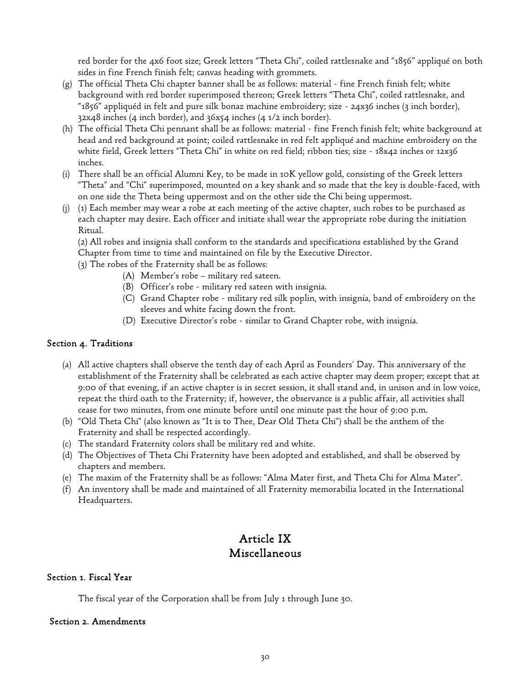red border for the 4x6 foot size; Greek letters "Theta Chi", coiled rattlesnake and "1856" appliqué on both sides in fine French finish felt; canvas heading with grommets.

- (g) The official Theta Chi chapter banner shall be as follows: material fine French finish felt; white background with red border superimposed thereon; Greek letters "Theta Chi", coiled rattlesnake, and "1856" appliquéd in felt and pure silk bonaz machine embroidery; size - 24x36 inches (3 inch border), 32x48 inches (4 inch border), and 36x54 inches (4 1/2 inch border).
- (h) The official Theta Chi pennant shall be as follows: material fine French finish felt; white background at head and red background at point; coiled rattlesnake in red felt appliqué and machine embroidery on the white field, Greek letters "Theta Chi" in white on red field; ribbon ties; size - 18x42 inches or 12x36 inches.
- (i) There shall be an official Alumni Key, to be made in 10K yellow gold, consisting of the Greek letters "Theta" and "Chi" superimposed, mounted on a key shank and so made that the key is double-faced, with on one side the Theta being uppermost and on the other side the Chi being uppermost.
- (j) (1) Each member may wear a robe at each meeting of the active chapter, such robes to be purchased as each chapter may desire. Each officer and initiate shall wear the appropriate robe during the initiation Ritual.

(2) All robes and insignia shall conform to the standards and specifications established by the Grand Chapter from time to time and maintained on file by the Executive Director.

- (3) The robes of the Fraternity shall be as follows:
	- (A) Member's robe military red sateen.
	- (B) Officer's robe military red sateen with insignia.
	- (C) Grand Chapter robe military red silk poplin, with insignia, band of embroidery on the sleeves and white facing down the front.
	- (D) Executive Director's robe similar to Grand Chapter robe, with insignia.

#### Section 4. Traditions

- (a) All active chapters shall observe the tenth day of each April as Founders' Day. This anniversary of the establishment of the Fraternity shall be celebrated as each active chapter may deem proper; except that at 9:00 of that evening, if an active chapter is in secret session, it shall stand and, in unison and in low voice, repeat the third oath to the Fraternity; if, however, the observance is a public affair, all activities shall cease for two minutes, from one minute before until one minute past the hour of 9:00 p.m.
- (b) "Old Theta Chi" (also known as "It is to Thee, Dear Old Theta Chi") shall be the anthem of the Fraternity and shall be respected accordingly.
- (c) The standard Fraternity colors shall be military red and white.
- (d) The Objectives of Theta Chi Fraternity have been adopted and established, and shall be observed by chapters and members.
- (e) The maxim of the Fraternity shall be as follows: "Alma Mater first, and Theta Chi for Alma Mater".
- (f) An inventory shall be made and maintained of all Fraternity memorabilia located in the International Headquarters.

# Article IX Miscellaneous

## Section 1. Fiscal Year

The fiscal year of the Corporation shall be from July 1 through June 30.

#### Section 2. Amendments